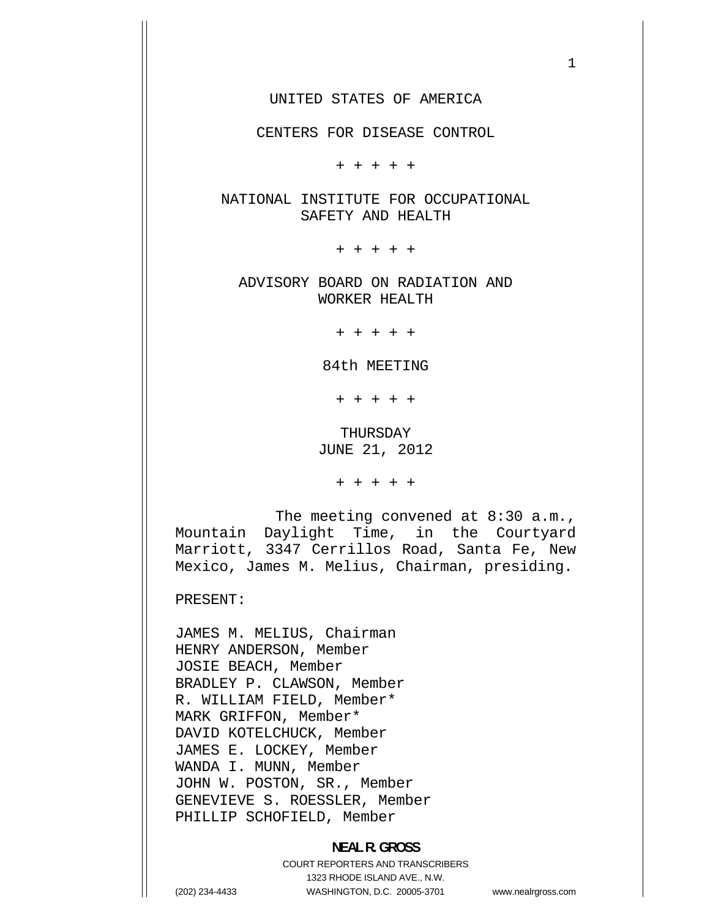1

CENTERS FOR DISEASE CONTROL

+ + + + +

NATIONAL INSTITUTE FOR OCCUPATIONAL SAFETY AND HEALTH

+ + + + +

ADVISORY BOARD ON RADIATION AND WORKER HEALTH

+ + + + +

84th MEETING

+ + + + +

THURSDAY JUNE 21, 2012

+ + + + +

The meeting convened at 8:30 a.m., Mountain Daylight Time, in the Courtyard Marriott, 3347 Cerrillos Road, Santa Fe, New Mexico, James M. Melius, Chairman, presiding.

PRESENT:

JAMES M. MELIUS, Chairman HENRY ANDERSON, Member JOSIE BEACH, Member BRADLEY P. CLAWSON, Member R. WILLIAM FIELD, Member\* MARK GRIFFON, Member\* DAVID KOTELCHUCK, Member JAMES E. LOCKEY, Member WANDA I. MUNN, Member JOHN W. POSTON, SR., Member GENEVIEVE S. ROESSLER, Member PHILLIP SCHOFIELD, Member

# **NEAL R. GROSS**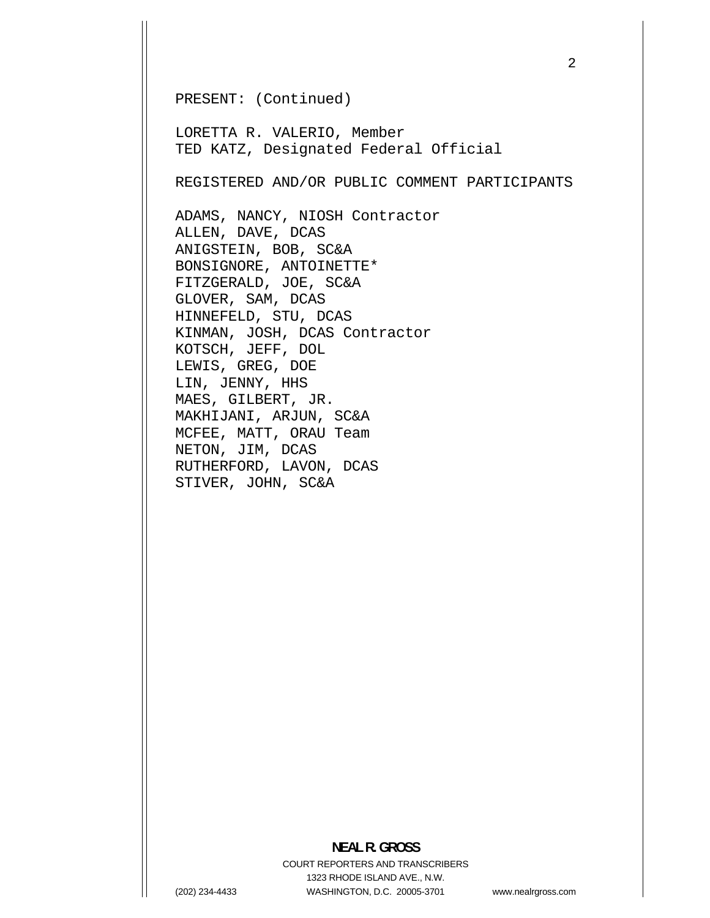PRESENT: (Continued)

LORETTA R. VALERIO, Member TED KATZ, Designated Federal Official

REGISTERED AND/OR PUBLIC COMMENT PARTICIPANTS

ADAMS, NANCY, NIOSH Contractor ALLEN, DAVE, DCAS ANIGSTEIN, BOB, SC&A BONSIGNORE, ANTOINETTE\* FITZGERALD, JOE, SC&A GLOVER, SAM, DCAS HINNEFELD, STU, DCAS KINMAN, JOSH, DCAS Contractor KOTSCH, JEFF, DOL LEWIS, GREG, DOE LIN, JENNY, HHS MAES, GILBERT, JR. MAKHIJANI, ARJUN, SC&A MCFEE, MATT, ORAU Team NETON, JIM, DCAS RUTHERFORD, LAVON, DCAS STIVER, JOHN, SC&A

#### **NEAL R. GROSS**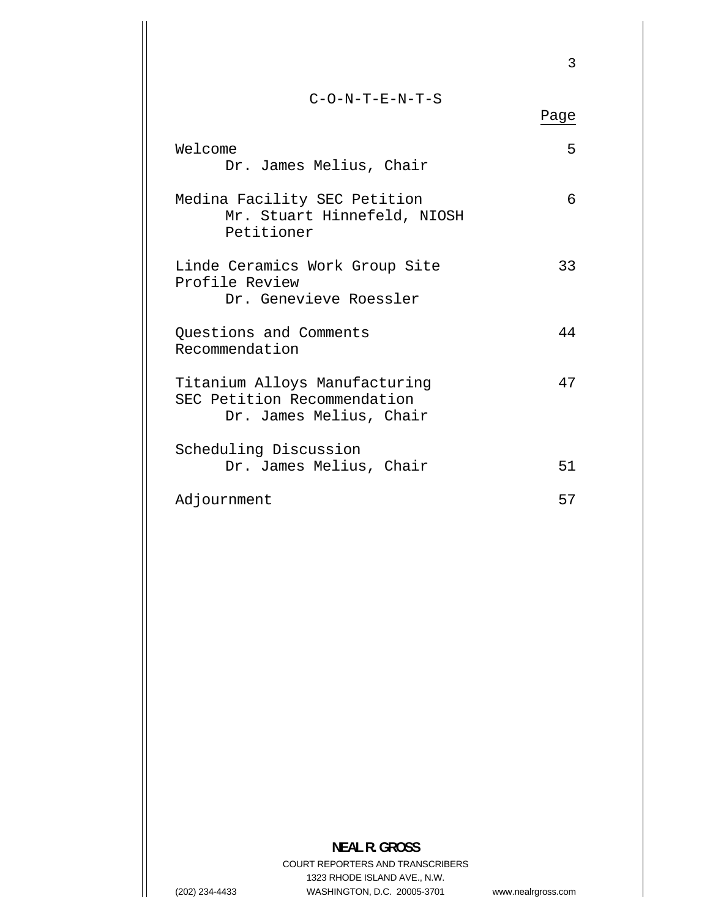|                                                                                         | 3    |
|-----------------------------------------------------------------------------------------|------|
| $C-O-N-T-E-N-T-S$                                                                       | Page |
| Welcome<br>Dr. James Melius, Chair                                                      | 5    |
| Medina Facility SEC Petition<br>Mr. Stuart Hinnefeld, NIOSH<br>Petitioner               | 6    |
| Linde Ceramics Work Group Site<br>Profile Review<br>Dr. Genevieve Roessler              | 33   |
| Questions and Comments<br>Recommendation                                                | 44   |
| Titanium Alloys Manufacturing<br>SEC Petition Recommendation<br>Dr. James Melius, Chair | 47   |
| Scheduling Discussion<br>Dr. James Melius, Chair                                        | 51   |
| Adjournment                                                                             | 57   |

# **NEAL R. GROSS**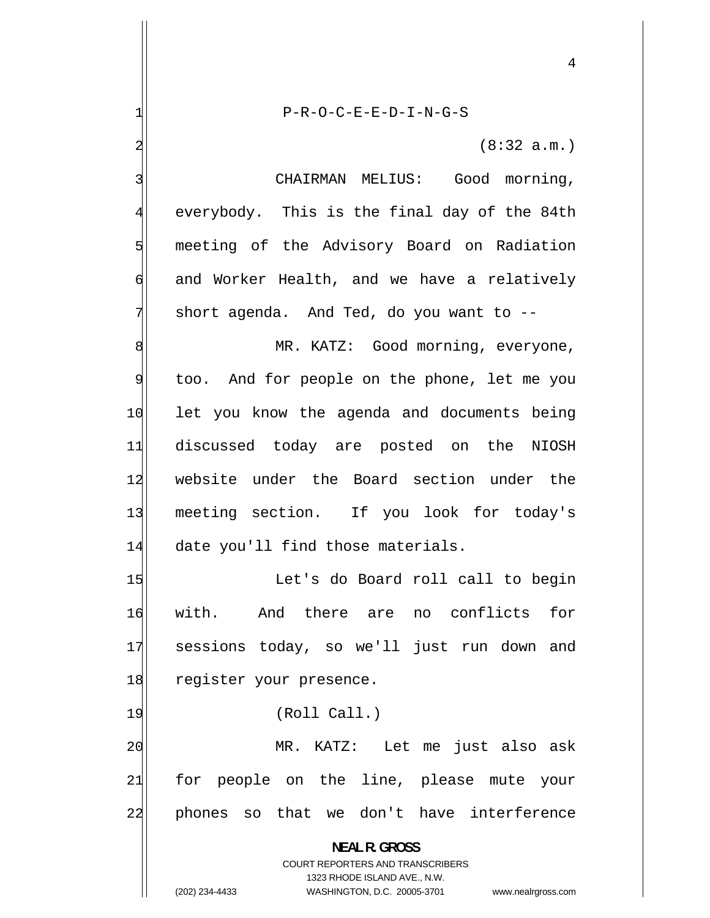P-R-O-C-E-E-D-I-N-G-S

<span id="page-3-0"></span>1

2

3

4

5

6

7

(8:32 a.m.)

4

 CHAIRMAN MELIUS: Good morning, everybody. This is the final day of the 84th meeting of the Advisory Board on Radiation and Worker Health, and we have a relatively short agenda. And Ted, do you want to --

8 MR. KATZ: Good morning, everyone, 9 too. And for people on the phone, let me you 10 let you know the agenda and documents being 11 discussed today are posted on the NIOSH 12 website under the Board section under the 13 meeting section. If you look for today's 14 date you'll find those materials.

15 Let's do Board roll call to begin 16 with. And there are no conflicts for 17 sessions today, so we'll just run down and 18 register your presence.

19 (Roll Call.)

20 MR. KATZ: Let me just also ask 21 for people on the line, please mute your 22 phones so that we don't have interference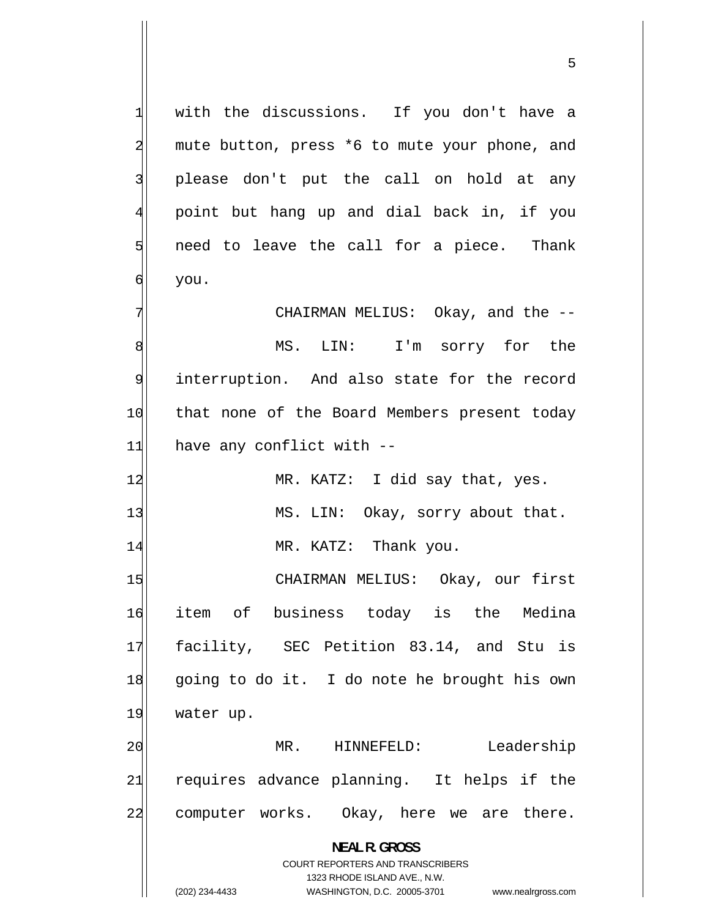with the discussions. If you don't have a mute button, press \*6 to mute your phone, and please don't put the call on hold at any point but hang up and dial back in, if you need to leave the call for a piece. Thank you.

[7](#page-6-0)  CHAIRMAN MELIUS: Okay, and the -- [8](#page-7-0)  MS. LIN: I'm sorry for the [9](#page-8-0)  interruption. And also state for the record [10](#page-9-0)  that none of the Board Members present today [11](#page-10-0)  have any conflict with --

[12](#page-11-0)  MR. KATZ: I did say that, yes. [13](#page-12-0)  MS. LIN: Okay, sorry about that. [14](#page-13-0)  MR. KATZ: Thank you.

[15](#page-14-0)  CHAIRMAN MELIUS: Okay, our first [16](#page-15-0)  item of business today is the Medina [17](#page-16-0)  facility, SEC Petition 83.14, and Stu is [18](#page-17-0)  going to do it. I do note he brought his own [19](#page-18-0)  water up.

[20](#page-19-0)  MR. HINNEFELD: Leadership [21](#page-20-0)  requires advance planning. It helps if the [22](#page-21-0)  computer works. Okay, here we are there.

> **NEAL R. GROSS**  COURT REPORTERS AND TRANSCRIBERS

> > 1323 RHODE ISLAND AVE., N.W.

<span id="page-4-0"></span>1

2

3

[4](#page-3-0) 

5

[6](#page-5-0) 

(202) 234-4433 WASHINGTON, D.C. 20005-3701 www.nealrgross.com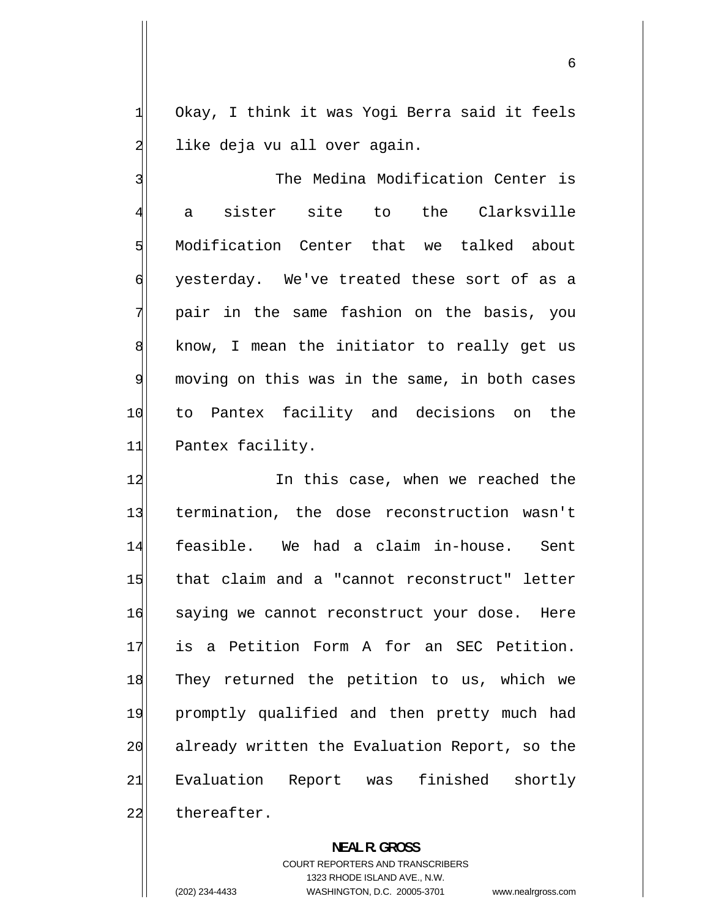Okay, I think it was Yogi Berra said it feels like deja vu all over again.

<span id="page-5-0"></span>1

2

3 The Medina Modification Center is 4 a sister site to the Clarksville 5 Modification Center that we talked about 6 yesterday. We've treated these sort of as a 7 pair in the same fashion on the basis, you 8 know, I mean the initiator to really get us 9 moving on this was in the same, in both cases 10 to Pantex facility and decisions on the 11 Pantex facility.

12 In this case, when we reached the 13 termination, the dose reconstruction wasn't 14 feasible. We had a claim in-house. Sent 15 that claim and a "cannot reconstruct" letter 16 saying we cannot reconstruct your dose. Here 17 is a Petition Form A for an SEC Petition. 18 They returned the petition to us, which we 19 promptly qualified and then pretty much had 20 already written the Evaluation Report, so the 21 Evaluation Report was finished shortly 22 thereafter.

> **NEAL R. GROSS**  COURT REPORTERS AND TRANSCRIBERS 1323 RHODE ISLAND AVE., N.W. (202) 234-4433 WASHINGTON, D.C. 20005-3701 www.nealrgross.com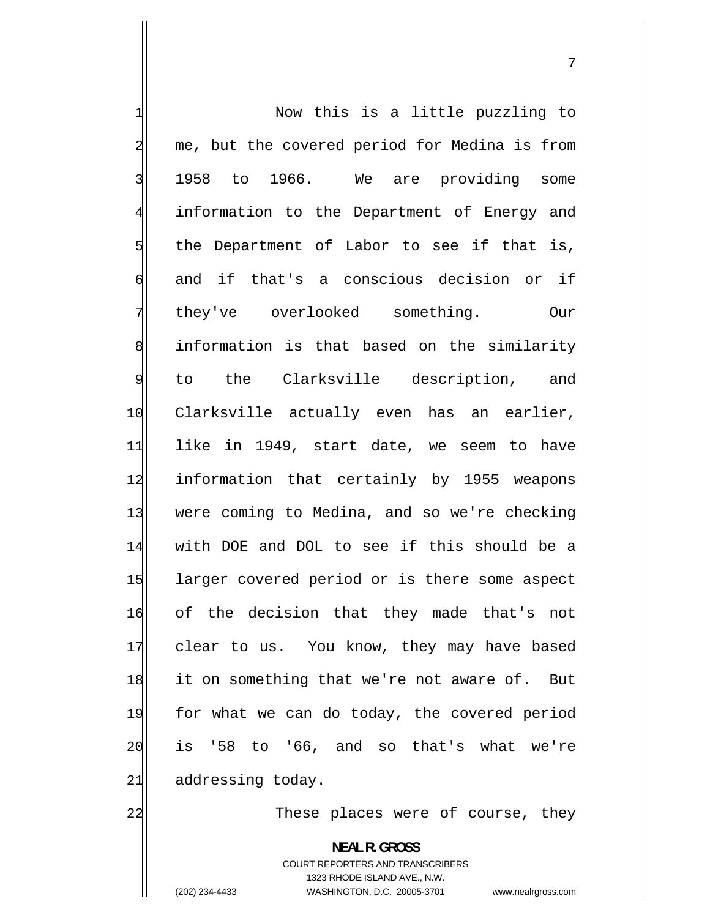<span id="page-6-0"></span>1 Now this is a little puzzling to 2 me, but the covered period for Medina is from 3 1958 to 1966. We are providing some 4 information to the Department of Energy and 5 the Department of Labor to see if that is, 6 and if that's a conscious decision or if 7 they've overlooked something. Our 8 information is that based on the similarity 9 to the Clarksville description, and 10 Clarksville actually even has an earlier, 11 like in 1949, start date, we seem to have 12 information that certainly by 1955 weapons 13 were coming to Medina, and so we're checking 14 with DOE and DOL to see if this should be a 15 larger covered period or is there some aspect 16 of the decision that they made that's not 17 clear to us. You know, they may have based 18 it on something that we're not aware of. But 19 for what we can do today, the covered period 20 is '58 to '66, and so that's what we're 21 addressing today.

These places were of course, they

**NEAL R. GROSS**  COURT REPORTERS AND TRANSCRIBERS 1323 RHODE ISLAND AVE., N.W. (202) 234-4433 WASHINGTON, D.C. 20005-3701 www.nealrgross.com

22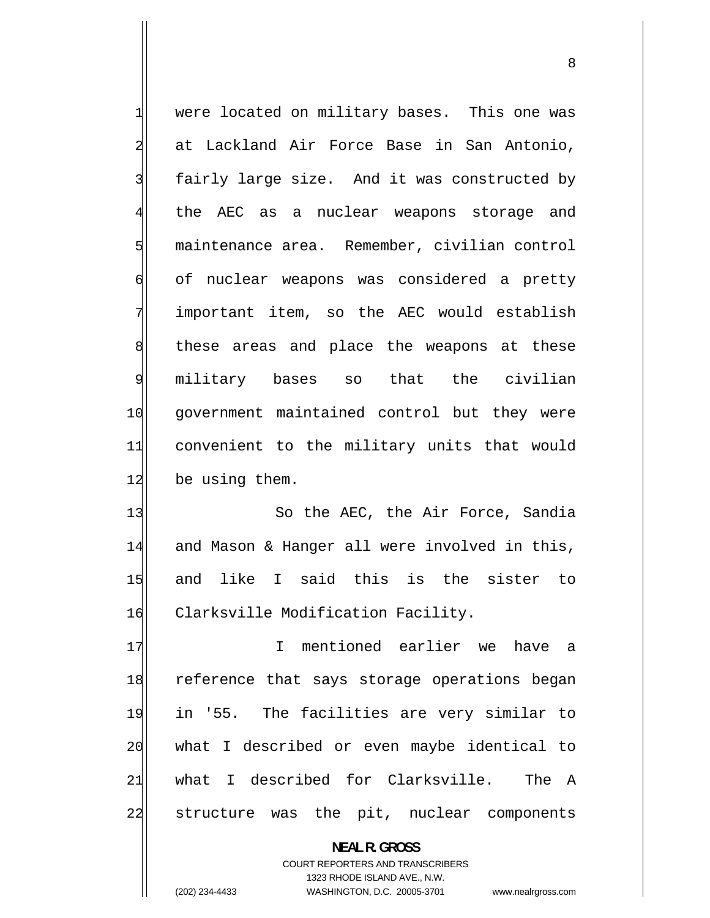<span id="page-7-0"></span>1 were located on military bases. This one was 2 at Lackland Air Force Base in San Antonio, 3 fairly large size. And it was constructed by 4 the AEC as a nuclear weapons storage and 5 maintenance area. Remember, civilian control 6 of nuclear weapons was considered a pretty 7 important item, so the AEC would establish 8 these areas and place the weapons at these 9 military bases so that the civilian 10 government maintained control but they were 11 convenient to the military units that would 12 be using them.

13 So the AEC, the Air Force, Sandia 14 and Mason & Hanger all were involved in this, 15 and like I said this is the sister to 16 Clarksville Modification Facility.

17 I mentioned earlier we have a 18 reference that says storage operations began 19 in '55. The facilities are very similar to 20 what I described or even maybe identical to 21 what I described for Clarksville. The A 22 structure was the pit, nuclear components

> **NEAL R. GROSS**  COURT REPORTERS AND TRANSCRIBERS 1323 RHODE ISLAND AVE., N.W. (202) 234-4433 WASHINGTON, D.C. 20005-3701 www.nealrgross.com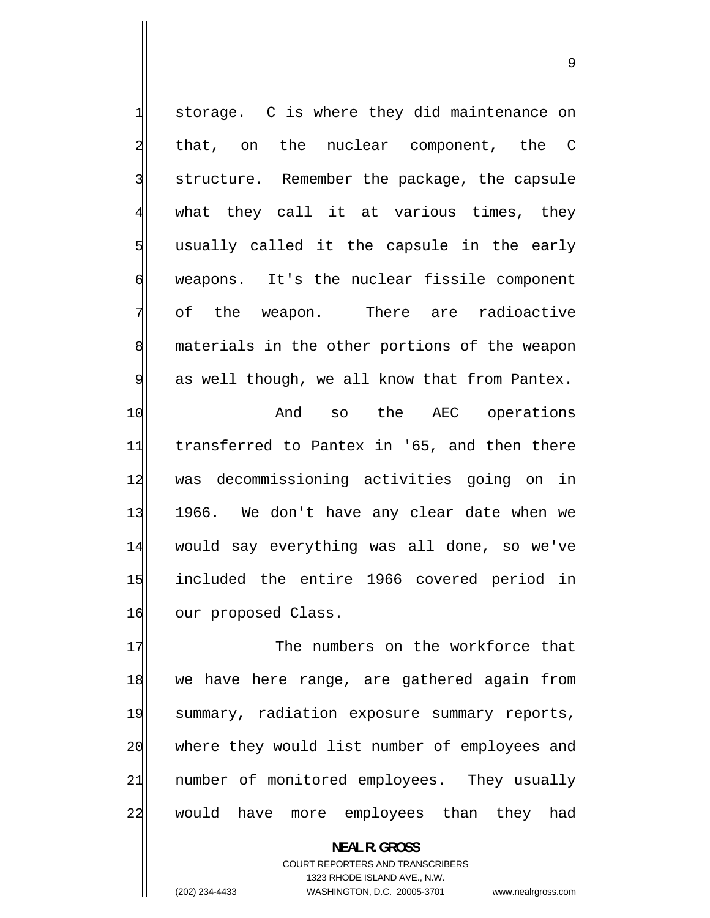<span id="page-8-0"></span>1 storage. C is where they did maintenance on 2 that, on the nuclear component, the C 3 structure. Remember the package, the capsule 4 what they call it at various times, they 5 usually called it the capsule in the early 6 weapons. It's the nuclear fissile component 7 of the weapon. There are radioactive 8 materials in the other portions of the weapon 9 as well though, we all know that from Pantex. 10 And so the AEC operations 11 transferred to Pantex in '65, and then there 12 was decommissioning activities going on in 13 1966. We don't have any clear date when we 14 would say everything was all done, so we've 15 included the entire 1966 covered period in 16 our proposed Class.

17 The numbers on the workforce that 18 we have here range, are gathered again from 19 summary, radiation exposure summary reports, 20 where they would list number of employees and 21 number of monitored employees. They usually 22 would have more employees than they had

> **NEAL R. GROSS**  COURT REPORTERS AND TRANSCRIBERS 1323 RHODE ISLAND AVE., N.W. (202) 234-4433 WASHINGTON, D.C. 20005-3701 www.nealrgross.com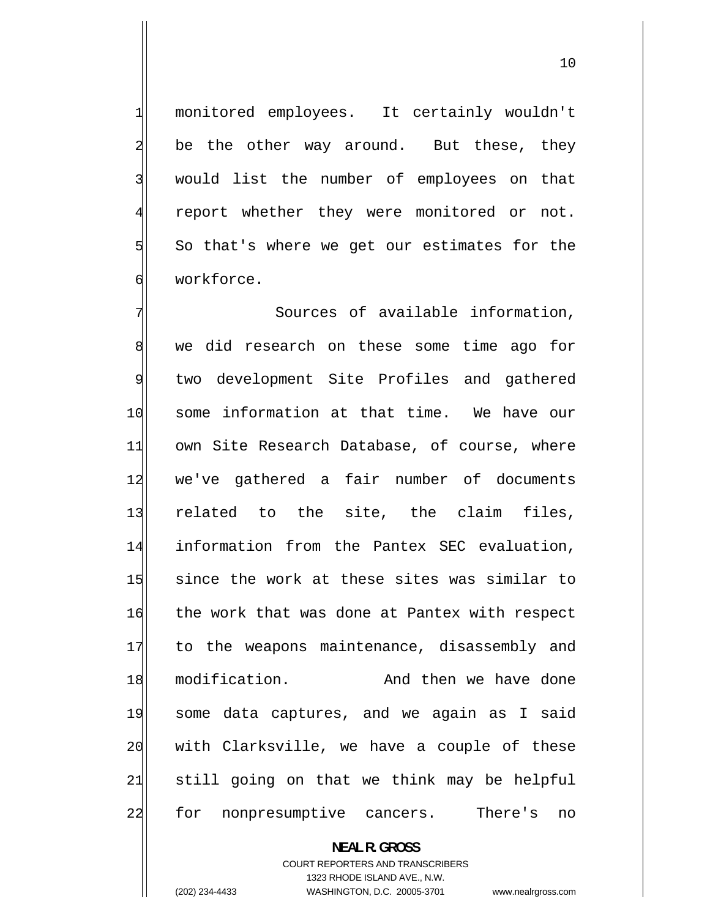monitored employees. It certainly wouldn't be the other way around. But these, they would list the number of employees on that report whether they were monitored or not. So that's where we get our estimates for the workforce.

7 Sources of available information, 8 we did research on these some time ago for 9 two development Site Profiles and gathered 10 some information at that time. We have our 11 own Site Research Database, of course, where 12 we've gathered a fair number of documents 13 related to the site, the claim files, 14 information from the Pantex SEC evaluation, 15 since the work at these sites was similar to 16 the work that was done at Pantex with respect 17 to the weapons maintenance, disassembly and 18 modification. And then we have done 19 some data captures, and we again as I said 20 with Clarksville, we have a couple of these 21 still going on that we think may be helpful 22 for nonpresumptive cancers. There's no

#### **NEAL R. GROSS**

COURT REPORTERS AND TRANSCRIBERS 1323 RHODE ISLAND AVE., N.W. (202) 234-4433 WASHINGTON, D.C. 20005-3701 www.nealrgross.com

<span id="page-9-0"></span>1

2

3

4

5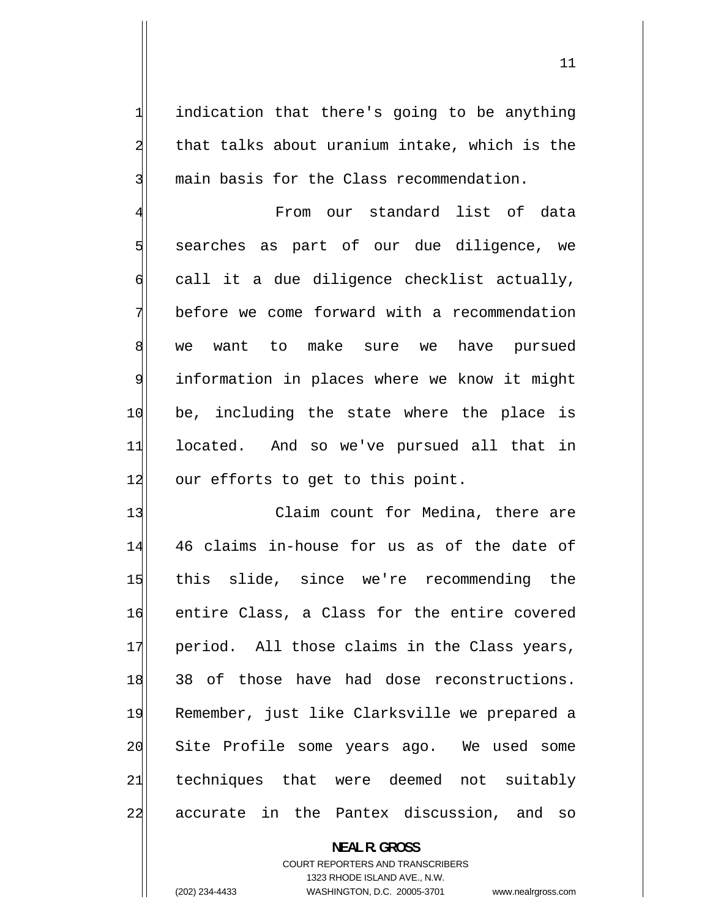indication that there's going to be anything that talks about uranium intake, which is the main basis for the Class recommendation.

4 From our standard list of data 5 searches as part of our due diligence, we 6 call it a due diligence checklist actually, 7 before we come forward with a recommendation 8 we want to make sure we have pursued 9 information in places where we know it might 10 be, including the state where the place is 11 located. And so we've pursued all that in 12 our efforts to get to this point.

13 Claim count for Medina, there are 14 46 claims in-house for us as of the date of 15 this slide, since we're recommending the 16 entire Class, a Class for the entire covered 17 period. All those claims in the Class years, 18 38 of those have had dose reconstructions. 19 Remember, just like Clarksville we prepared a 20 Site Profile some years ago. We used some 21 techniques that were deemed not suitably 22 accurate in the Pantex discussion, and so

# **NEAL R. GROSS**  COURT REPORTERS AND TRANSCRIBERS 1323 RHODE ISLAND AVE., N.W. (202) 234-4433 WASHINGTON, D.C. 20005-3701 www.nealrgross.com

<span id="page-10-0"></span>1

2

3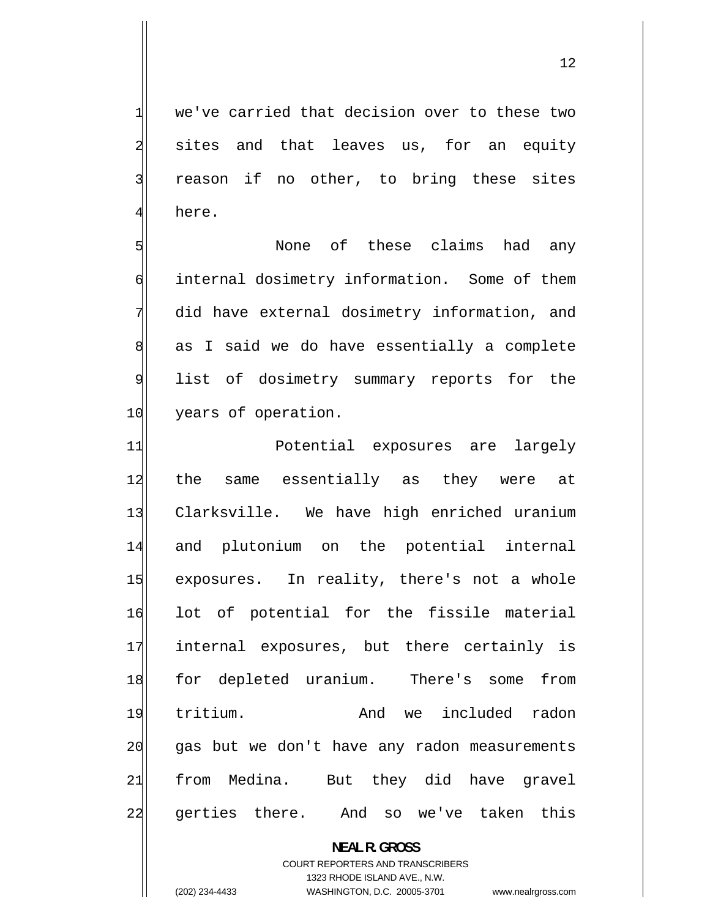we've carried that decision over to these two sites and that leaves us, for an equity reason if no other, to bring these sites here.

<span id="page-11-0"></span>1

2

3

4

5 None of these claims had any 6 internal dosimetry information. Some of them 7 did have external dosimetry information, and 8 as I said we do have essentially a complete 9 list of dosimetry summary reports for the 10 years of operation.

11 Potential exposures are largely 12 the same essentially as they were at 13 Clarksville. We have high enriched uranium 14 and plutonium on the potential internal 15 exposures. In reality, there's not a whole 16 lot of potential for the fissile material 17 internal exposures, but there certainly is 18 for depleted uranium. There's some from 19 tritium. And we included radon 20 gas but we don't have any radon measurements 21 from Medina. But they did have gravel 22 gerties there. And so we've taken this

**NEAL R. GROSS** 

COURT REPORTERS AND TRANSCRIBERS 1323 RHODE ISLAND AVE., N.W. (202) 234-4433 WASHINGTON, D.C. 20005-3701 www.nealrgross.com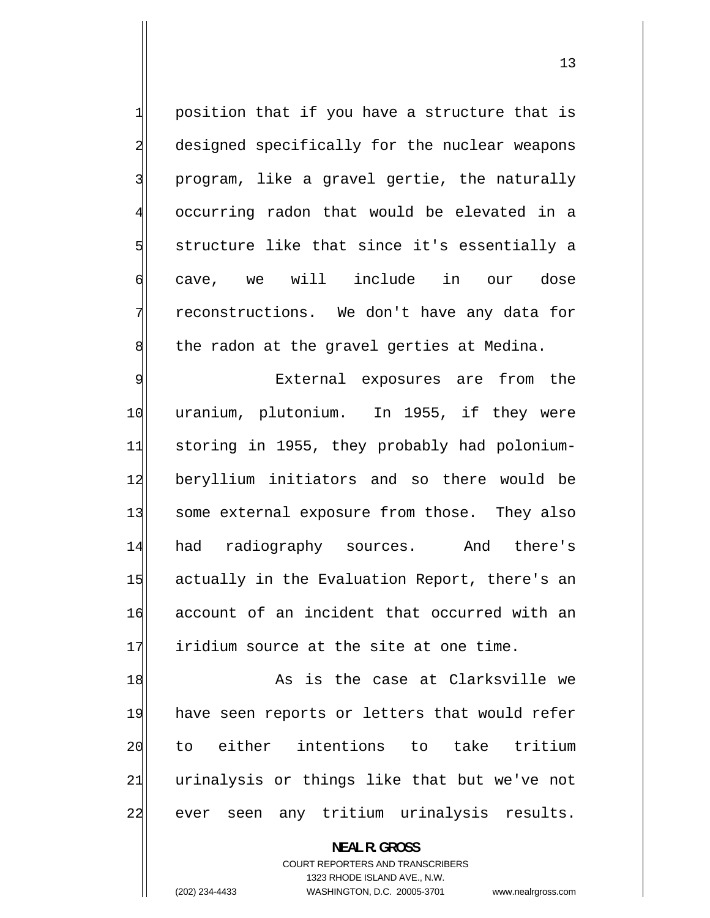<span id="page-12-0"></span> position that if you have a structure that is designed specifically for the nuclear weapons program, like a gravel gertie, the naturally 4 occurring radon that would be elevated in a structure like that since it's essentially a cave, we will include in our dose reconstructions. We don't have any data for the radon at the gravel gerties at Medina.

1

2

3

5

6

7

8

9 External exposures are from the 10 uranium, plutonium. In 1955, if they were 11 storing in 1955, they probably had polonium-12 beryllium initiators and so there would be 13 some external exposure from those. They also 14 had radiography sources. And there's 15 actually in the Evaluation Report, there's an 16 account of an incident that occurred with an 17 iridium source at the site at one time.

18 As is the case at Clarksville we 19 have seen reports or letters that would refer 20 to either intentions to take tritium 21 urinalysis or things like that but we've not 22 ever seen any tritium urinalysis results.

> **NEAL R. GROSS**  COURT REPORTERS AND TRANSCRIBERS 1323 RHODE ISLAND AVE., N.W. (202) 234-4433 WASHINGTON, D.C. 20005-3701 www.nealrgross.com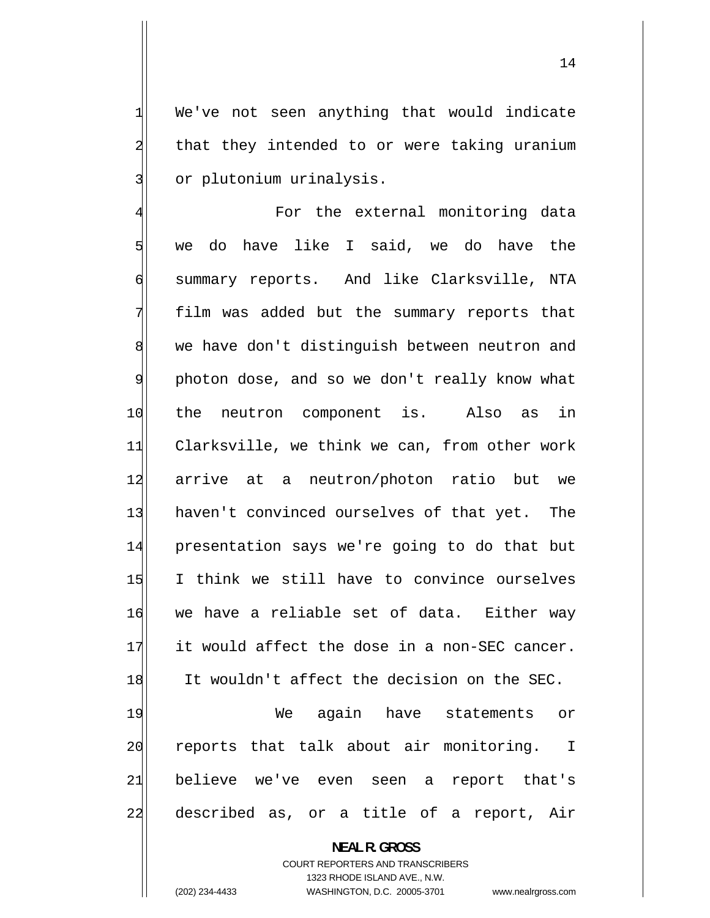We've not seen anything that would indicate that they intended to or were taking uranium or plutonium urinalysis.

<span id="page-13-0"></span>1

2

3

4 For the external monitoring data 5 we do have like I said, we do have the 6 summary reports. And like Clarksville, NTA 7 film was added but the summary reports that 8 we have don't distinguish between neutron and 9 photon dose, and so we don't really know what 10 the neutron component is. Also as in 11 Clarksville, we think we can, from other work 12 arrive at a neutron/photon ratio but we 13 haven't convinced ourselves of that yet. The 14 presentation says we're going to do that but 15 I think we still have to convince ourselves 16 we have a reliable set of data. Either way 17 it would affect the dose in a non-SEC cancer. 18 It wouldn't affect the decision on the SEC. 19 We again have statements or

20 reports that talk about air monitoring. I 21 believe we've even seen a report that's 22 described as, or a title of a report, Air

> **NEAL R. GROSS**  COURT REPORTERS AND TRANSCRIBERS 1323 RHODE ISLAND AVE., N.W. (202) 234-4433 WASHINGTON, D.C. 20005-3701 www.nealrgross.com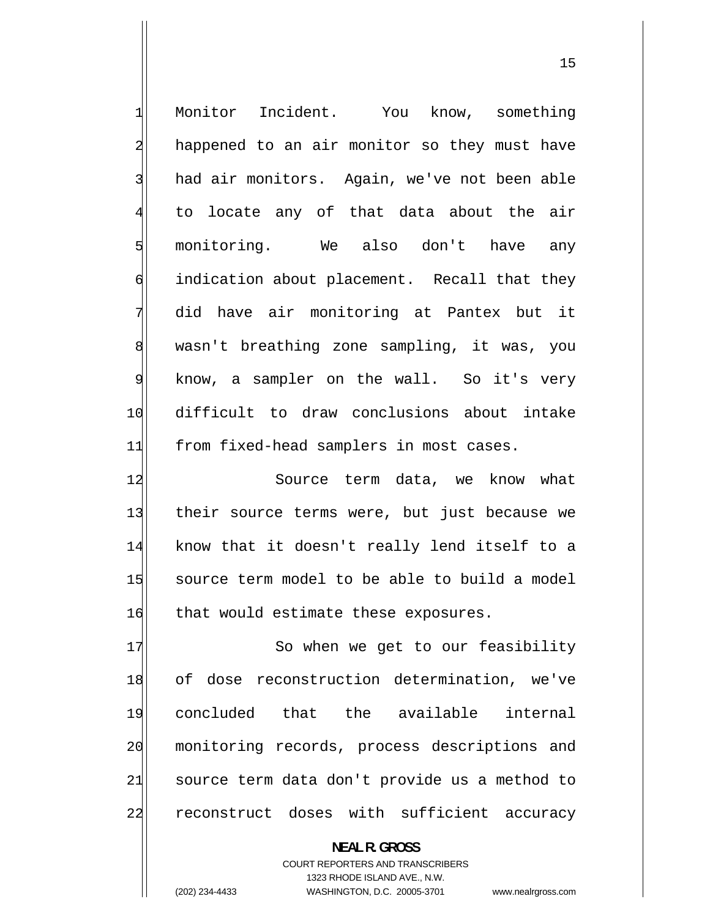<span id="page-14-0"></span>

| $\mathbf{1}$   | Monitor Incident. You know, something         |
|----------------|-----------------------------------------------|
| $\overline{a}$ | happened to an air monitor so they must have  |
| $\overline{3}$ | had air monitors. Again, we've not been able  |
| 4              | to locate any of that data about the air      |
| 5              | monitoring. We also don't have any            |
| 6              | indication about placement. Recall that they  |
| 7              | did have air monitoring at Pantex but it      |
| $\,8\,$        | wasn't breathing zone sampling, it was, you   |
| $\overline{9}$ | know, a sampler on the wall. So it's very     |
| 10             | difficult to draw conclusions about intake    |
| 11             | from fixed-head samplers in most cases.       |
| 12             | Source term data, we know what                |
| 13             | their source terms were, but just because we  |
| 14             | know that it doesn't really lend itself to a  |
| 15             | source term model to be able to build a model |
| 16             | that would estimate these exposures.          |
| 17             | So when we get to our feasibility             |
| 18             | of dose reconstruction determination, we've   |
| 19             | concluded that the available internal         |
| 20             | monitoring records, process descriptions and  |
| 21             | source term data don't provide us a method to |
| 22             | reconstruct doses with sufficient accuracy    |
|                | <b>NEAL R. GROSS</b>                          |

COURT REPORTERS AND TRANSCRIBERS 1323 RHODE ISLAND AVE., N.W.

(202) 234-4433 WASHINGTON, D.C. 20005-3701 www.nealrgross.com

15 and 15 and 15 and 15 and 15 and 15 and 15 and 15 and 15 and 15 and 15 and 15 and 15 and 15 and 15 and 15 an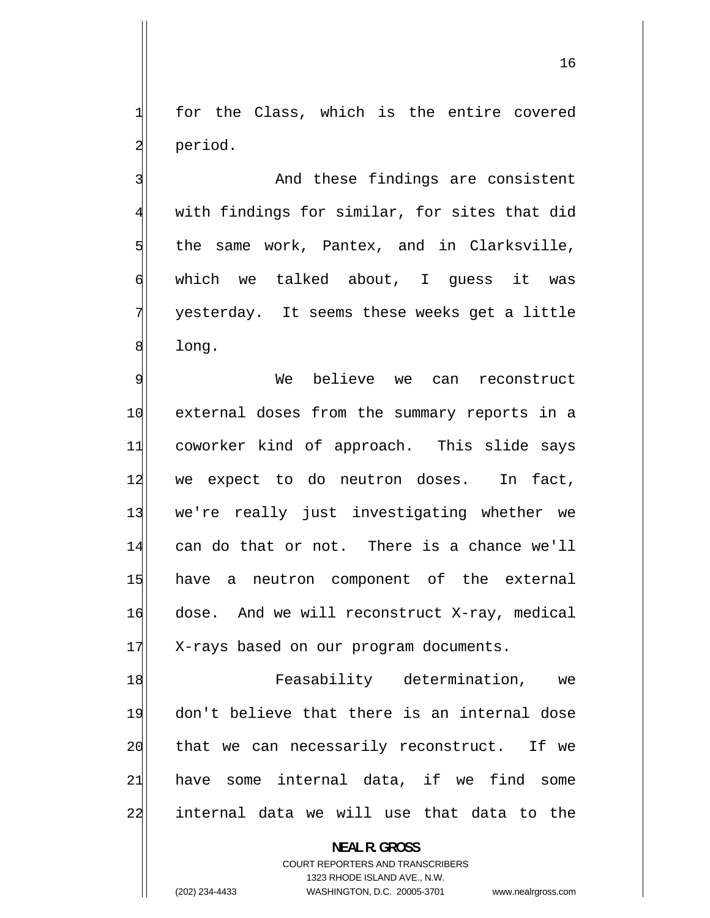for the Class, which is the entire covered period.

<span id="page-15-0"></span>1

2

3

4

5

6

7

8

 And these findings are consistent with findings for similar, for sites that did the same work, Pantex, and in Clarksville, which we talked about, I guess it was yesterday. It seems these weeks get a little long.

9 We believe we can reconstruct 10 external doses from the summary reports in a 11 coworker kind of approach. This slide says 12 we expect to do neutron doses. In fact, 13 we're really just investigating whether we 14 can do that or not. There is a chance we'll 15 have a neutron component of the external 16 dose. And we will reconstruct X-ray, medical 17 X-rays based on our program documents.

18 Feasability determination, we 19 don't believe that there is an internal dose 20 that we can necessarily reconstruct. If we 21 have some internal data, if we find some 22 internal data we will use that data to the

> **NEAL R. GROSS**  COURT REPORTERS AND TRANSCRIBERS 1323 RHODE ISLAND AVE., N.W. (202) 234-4433 WASHINGTON, D.C. 20005-3701 www.nealrgross.com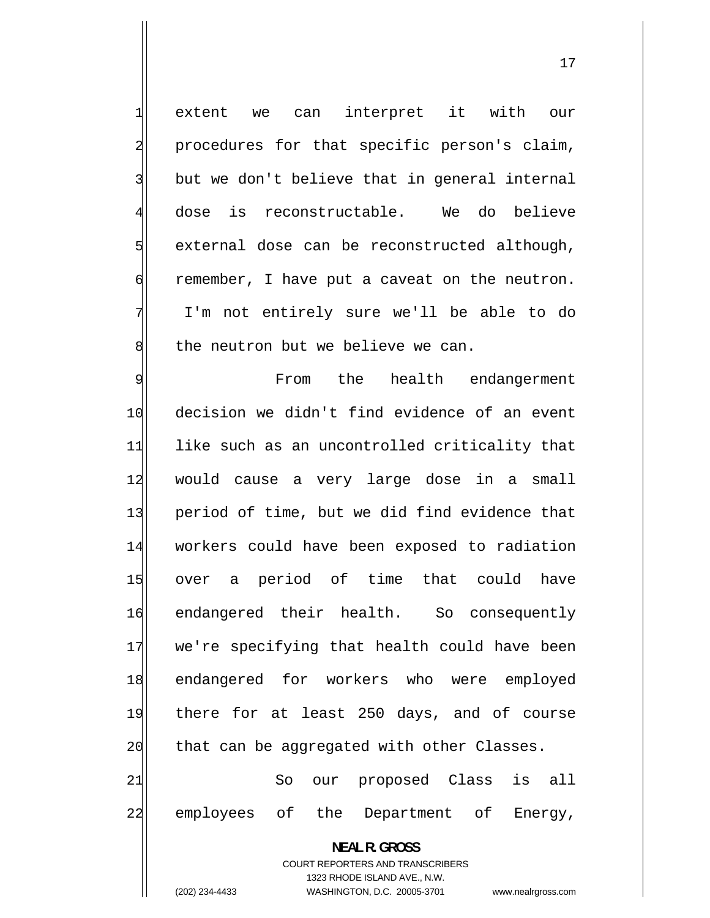extent we can interpret it with our procedures for that specific person's claim, but we don't believe that in general internal dose is reconstructable. We do believe external dose can be reconstructed although, remember, I have put a caveat on the neutron. I'm not entirely sure we'll be able to do the neutron but we believe we can.

<span id="page-16-0"></span>1

2

3

4

5

6

7

8

17

9 From the health endangerment 10 decision we didn't find evidence of an event 11 like such as an uncontrolled criticality that 12 would cause a very large dose in a small 13 period of time, but we did find evidence that 14 workers could have been exposed to radiation 15 over a period of time that could have 16 endangered their health. So consequently 17 we're specifying that health could have been 18 endangered for workers who were employed 19 there for at least 250 days, and of course 20 that can be aggregated with other Classes. 21 So our proposed Class is all

22 employees of the Department of Energy,

**NEAL R. GROSS**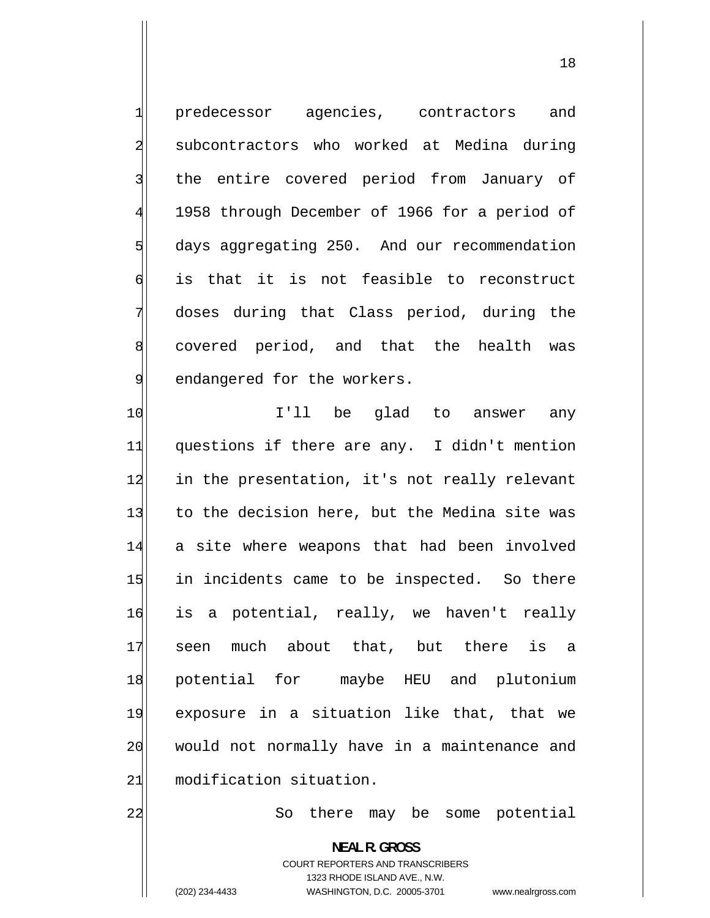predecessor agencies, contractors and subcontractors who worked at Medina during the entire covered period from January of 1958 through December of 1966 for a period of days aggregating 250. And our recommendation is that it is not feasible to reconstruct doses during that Class period, during the covered period, and that the health was endangered for the workers. I'll be glad to answer any

11 questions if there are any. I didn't mention 12 in the presentation, it's not really relevant 13 to the decision here, but the Medina site was 14 a site where weapons that had been involved 15 in incidents came to be inspected. So there 16 is a potential, really, we haven't really 17 seen much about that, but there is a 18 potential for maybe HEU and plutonium 19 exposure in a situation like that, that we 20 would not normally have in a maintenance and 21 modification situation.

So there may be some potential

**NEAL R. GROSS**  COURT REPORTERS AND TRANSCRIBERS 1323 RHODE ISLAND AVE., N.W. (202) 234-4433 WASHINGTON, D.C. 20005-3701 www.nealrgross.com

<span id="page-17-0"></span>1

2

3

4

5

6

7

8

9

10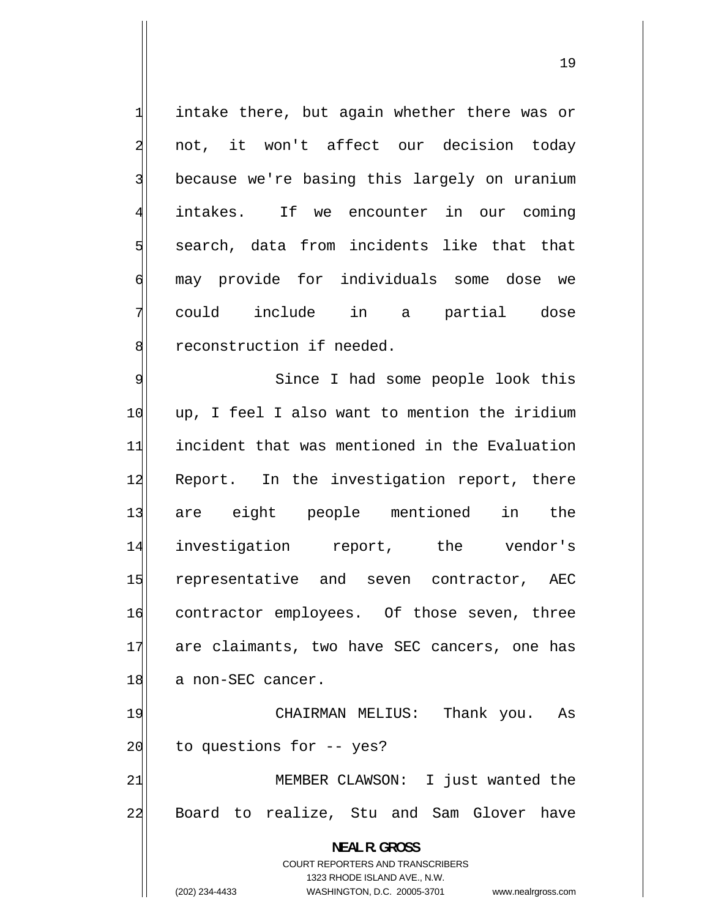intake there, but again whether there was or not, it won't affect our decision today because we're basing this largely on uranium intakes. If we encounter in our coming search, data from incidents like that that may provide for individuals some dose we could include in a partial dose reconstruction if needed.

<span id="page-18-0"></span>1

2

3

4

5

6

7

8

9 Since I had some people look this 10 up, I feel I also want to mention the iridium 11 incident that was mentioned in the Evaluation 12 Report. In the investigation report, there 13 are eight people mentioned in the 14 investigation report, the vendor's 15 representative and seven contractor, AEC 16 contractor employees. Of those seven, three 17 are claimants, two have SEC cancers, one has 18 a non-SEC cancer.

19 CHAIRMAN MELIUS: Thank you. As 20 to questions for -- yes? 21 MEMBER CLAWSON: I just wanted the 22 Board to realize, Stu and Sam Glover have

> **NEAL R. GROSS**  COURT REPORTERS AND TRANSCRIBERS 1323 RHODE ISLAND AVE., N.W. (202) 234-4433 WASHINGTON, D.C. 20005-3701 www.nealrgross.com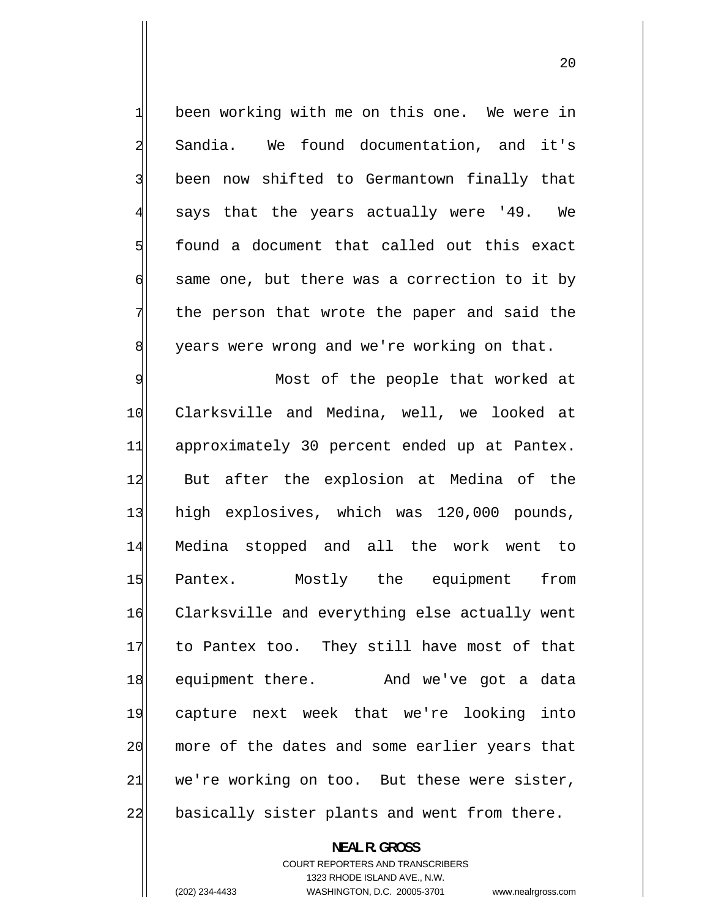<span id="page-19-0"></span> been working with me on this one. We were in Sandia. We found documentation, and it's been now shifted to Germantown finally that 4 says that the years actually were '49. We found a document that called out this exact same one, but there was a correction to it by the person that wrote the paper and said the years were wrong and we're working on that.

9 Most of the people that worked at 10 Clarksville and Medina, well, we looked at 11 approximately 30 percent ended up at Pantex. 12 But after the explosion at Medina of the 13 high explosives, which was 120,000 pounds, 14 Medina stopped and all the work went to 15 Pantex. Mostly the equipment from 16 Clarksville and everything else actually went 17 to Pantex too. They still have most of that 18 equipment there. And we've got a data 19 capture next week that we're looking into 20 more of the dates and some earlier years that 21 we're working on too. But these were sister, 22 basically sister plants and went from there.

> **NEAL R. GROSS**  COURT REPORTERS AND TRANSCRIBERS

> > 1323 RHODE ISLAND AVE., N.W.

1

2

3

5

6

7

8

(202) 234-4433 WASHINGTON, D.C. 20005-3701 www.nealrgross.com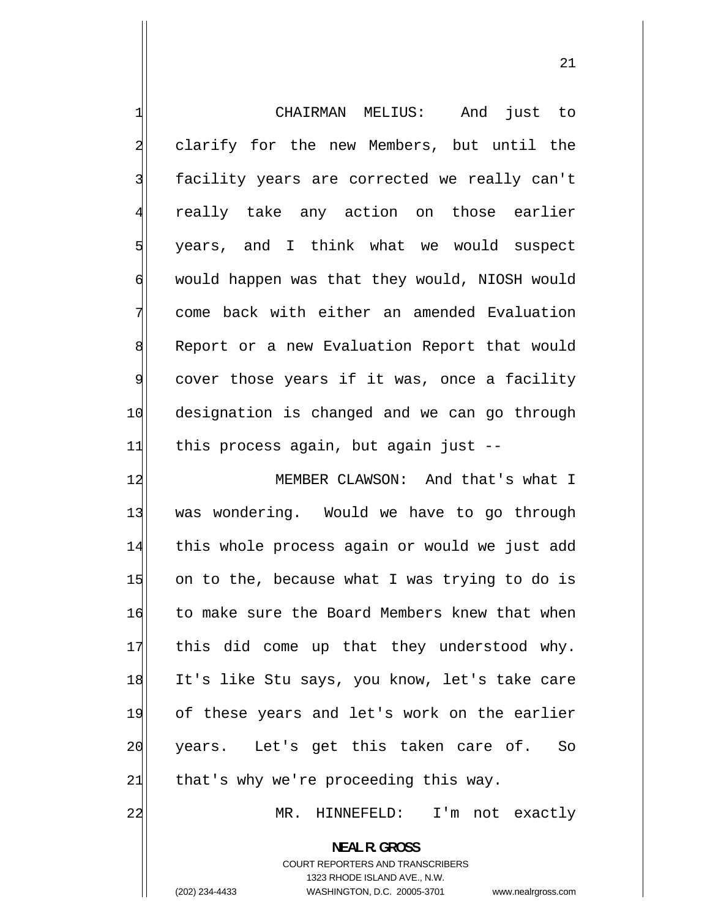<span id="page-20-0"></span>

| $\mathbf{1}$   | CHAIRMAN MELIUS:<br>And just to                          |
|----------------|----------------------------------------------------------|
| $\overline{a}$ | clarify for the new Members, but until the               |
| $\overline{3}$ | facility years are corrected we really can't             |
| $\overline{4}$ | really take any action on those earlier                  |
| $\overline{5}$ | years, and I think what we would suspect                 |
| $\overline{6}$ | would happen was that they would, NIOSH would            |
| 7              | come back with either an amended Evaluation              |
| 8              | Report or a new Evaluation Report that would             |
| $\overline{9}$ | cover those years if it was, once a facility             |
| 10             | designation is changed and we can go through             |
| 11             | this process again, but again just --                    |
| 12             | MEMBER CLAWSON: And that's what I                        |
| 13             | was wondering. Would we have to go through               |
| 14             | this whole process again or would we just add            |
| 15             | on to the, because what I was trying to do is            |
| 16             | to make sure the Board Members knew that when            |
| 17             | this did come up that they understood why.               |
| 18             | It's like Stu says, you know, let's take care            |
| 19             | of these years and let's work on the earlier             |
| 20             | years. Let's get this taken care of.<br>So               |
| 21             | that's why we're proceeding this way.                    |
| 22             | MR. HINNEFELD: I'm not exactly                           |
|                | <b>NEAL R. GROSS</b><br>COURT REPORTERS AND TRANSCRIBERS |

1323 RHODE ISLAND AVE., N.W.

 $\parallel$ 

(202) 234-4433 WASHINGTON, D.C. 20005-3701 www.nealrgross.com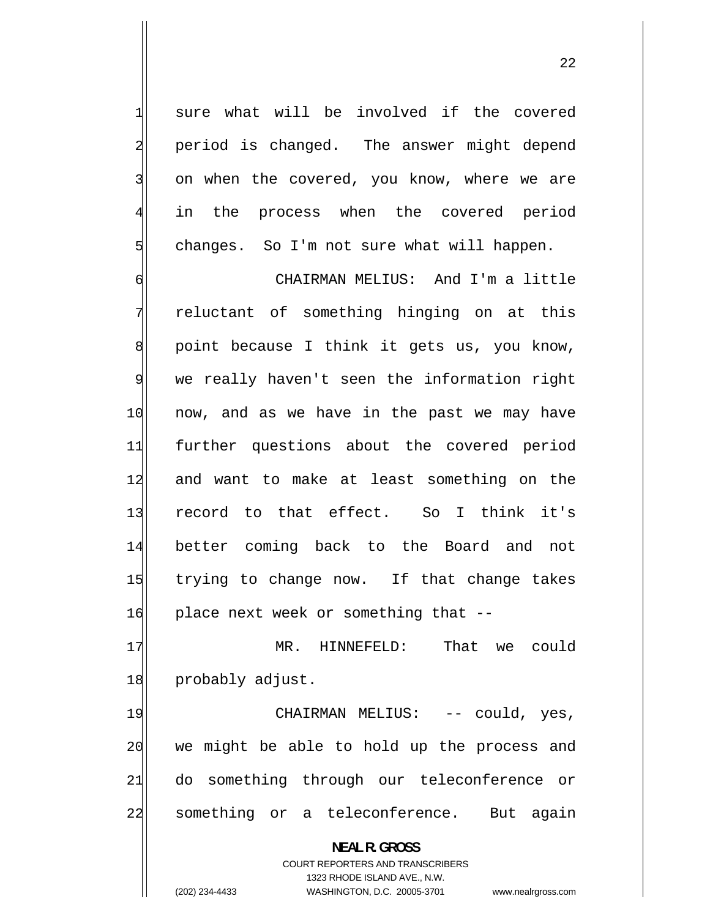sure what will be involved if the covered period is changed. The answer might depend on when the covered, you know, where we are in the process when the covered period changes. So I'm not sure what will happen.

<span id="page-21-0"></span>1

2

3

4

5

6 CHAIRMAN MELIUS: And I'm a little 7 reluctant of something hinging on at this 8 point because I think it gets us, you know, 9 we really haven't seen the information right 10 now, and as we have in the past we may have 11 further questions about the covered period 12 and want to make at least something on the 13 record to that effect. So I think it's 14 better coming back to the Board and not 15 trying to change now. If that change takes 16 place next week or something that --

17 MR. HINNEFELD: That we could 18 probably adjust.

19 CHAIRMAN MELIUS: -- could, yes, 20 we might be able to hold up the process and 21 do something through our teleconference or 22 something or a teleconference. But again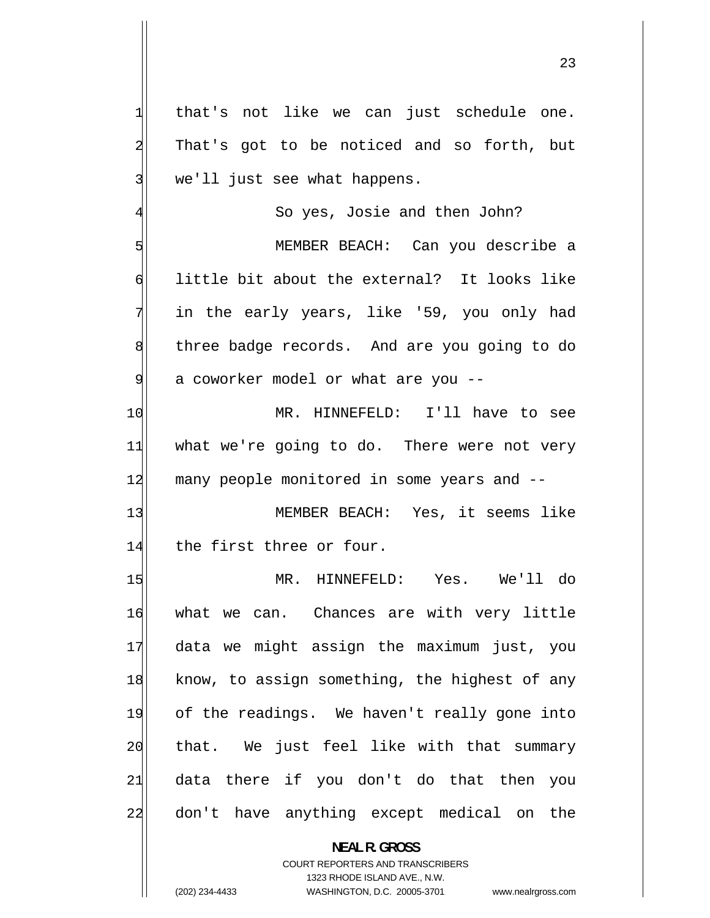that's not like we can just schedule one. That's got to be noticed and so forth, but we'll just see what happens.

So yes, Josie and then John?

5 MEMBER BEACH: Can you describe a 6 little bit about the external? It looks like in the early years, like '59, you only had 8 three badge records. And are you going to do 9 a coworker model or what are you --

10 MR. HINNEFELD: I'll have to see 11 what we're going to do. There were not very 12 many people monitored in some years and --

13 MEMBER BEACH: Yes, it seems like 14 the first three or four.

15 MR. HINNEFELD: Yes. We'll do 16 what we can. Chances are with very little 17 data we might assign the maximum just, you 18 know, to assign something, the highest of any 19 of the readings. We haven't really gone into 20 that. We just feel like with that summary 21 data there if you don't do that then you 22 don't have anything except medical on the

> **NEAL R. GROSS**  COURT REPORTERS AND TRANSCRIBERS

> > 1323 RHODE ISLAND AVE., N.W.

1

2

3

7

4

(202) 234-4433 WASHINGTON, D.C. 20005-3701 www.nealrgross.com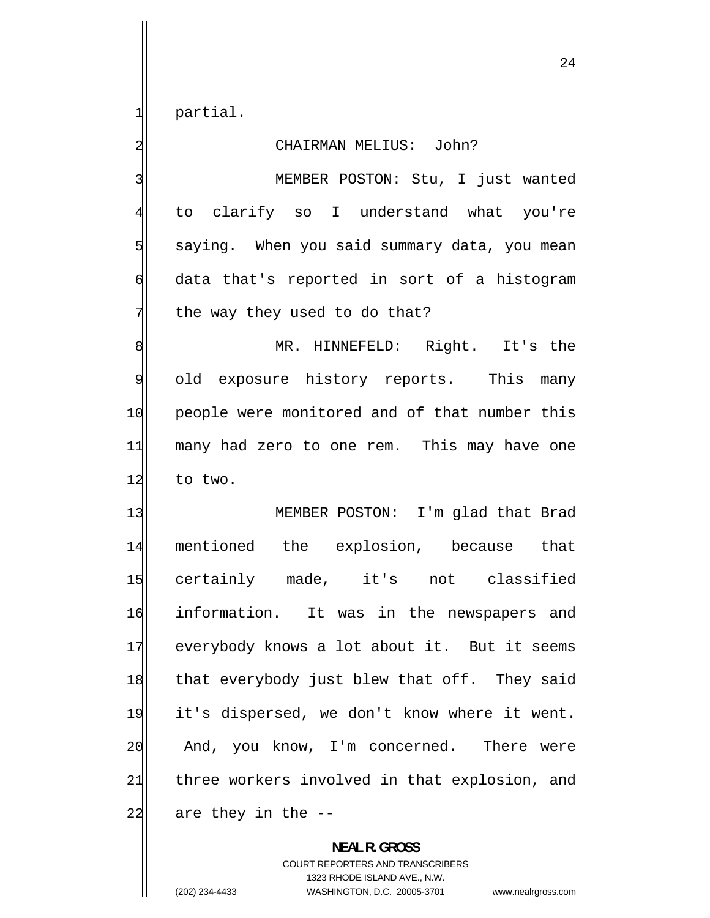partial.

1

2

3

4

5

6

7

#### CHAIRMAN MELIUS: John?

 MEMBER POSTON: Stu, I just wanted to clarify so I understand what you're saying. When you said summary data, you mean data that's reported in sort of a histogram the way they used to do that?

8 MR. HINNEFELD: Right. It's the 9 old exposure history reports. This many 10 people were monitored and of that number this 11 many had zero to one rem. This may have one 12 to two.

13 MEMBER POSTON: I'm glad that Brad 14 mentioned the explosion, because that 15 certainly made, it's not classified 16 information. It was in the newspapers and 17 everybody knows a lot about it. But it seems 18 that everybody just blew that off. They said 19 it's dispersed, we don't know where it went. 20 And, you know, I'm concerned. There were 21 three workers involved in that explosion, and  $22$  are they in the  $-$ 

> **NEAL R. GROSS**  COURT REPORTERS AND TRANSCRIBERS 1323 RHODE ISLAND AVE., N.W. (202) 234-4433 WASHINGTON, D.C. 20005-3701 www.nealrgross.com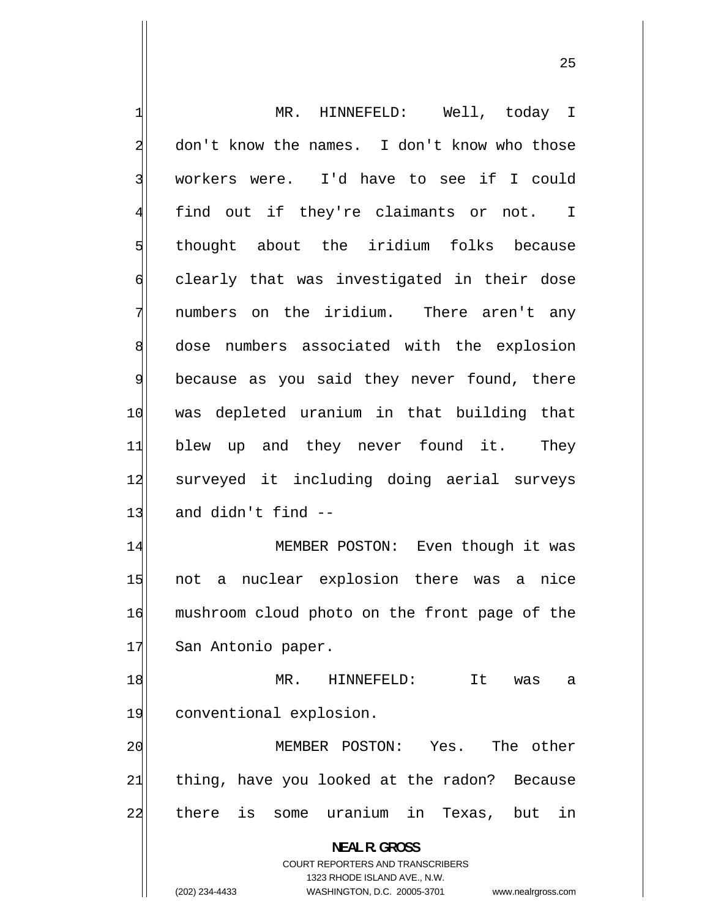1 MR. HINNEFELD: Well, today I 2 don't know the names. I don't know who those 3 workers were. I'd have to see if I could 4 find out if they're claimants or not. I 5 thought about the iridium folks because 6 clearly that was investigated in their dose 7 numbers on the iridium. There aren't any 8 dose numbers associated with the explosion 9 because as you said they never found, there 10 was depleted uranium in that building that 11 blew up and they never found it. They 12 surveyed it including doing aerial surveys  $13$  and didn't find  $-$ 14 MEMBER POSTON: Even though it was 15 not a nuclear explosion there was a nice 16 mushroom cloud photo on the front page of the 17 San Antonio paper. 18 MR. HINNEFELD: It was a 19 conventional explosion. 20 MEMBER POSTON: Yes. The other 21 thing, have you looked at the radon? Because 22 there is some uranium in Texas, but in **NEAL R. GROSS**  COURT REPORTERS AND TRANSCRIBERS 1323 RHODE ISLAND AVE., N.W.

<u>25 and 25</u>

(202) 234-4433 WASHINGTON, D.C. 20005-3701 www.nealrgross.com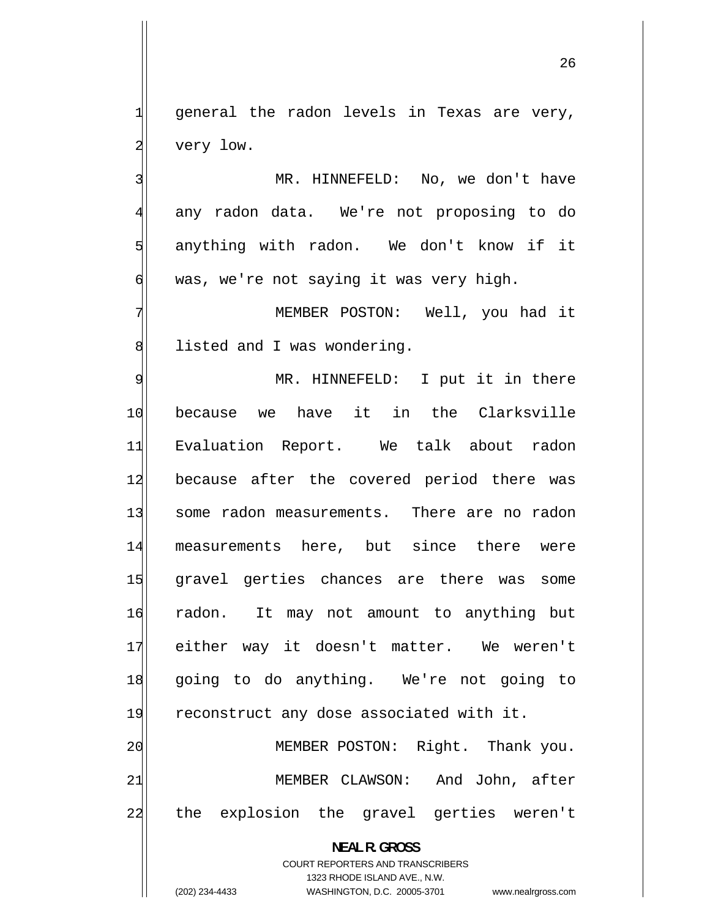general the radon levels in Texas are very, very low.

 MR. HINNEFELD: No, we don't have any radon data. We're not proposing to do anything with radon. We don't know if it was, we're not saying it was very high.

 MEMBER POSTON: Well, you had it listed and I was wondering.

9 MR. HINNEFELD: I put it in there 10 because we have it in the Clarksville 11 Evaluation Report. We talk about radon 12 because after the covered period there was 13 some radon measurements. There are no radon 14 measurements here, but since there were 15 gravel gerties chances are there was some 16 radon. It may not amount to anything but 17 either way it doesn't matter. We weren't 18 going to do anything. We're not going to 19 reconstruct any dose associated with it. 20 MEMBER POSTON: Right. Thank you. 21 MEMBER CLAWSON: And John, after 22 the explosion the gravel gerties weren't **NEAL R. GROSS** 

> COURT REPORTERS AND TRANSCRIBERS 1323 RHODE ISLAND AVE., N.W.

(202) 234-4433 WASHINGTON, D.C. 20005-3701 www.nealrgross.com

1

2

3

4

5

6

7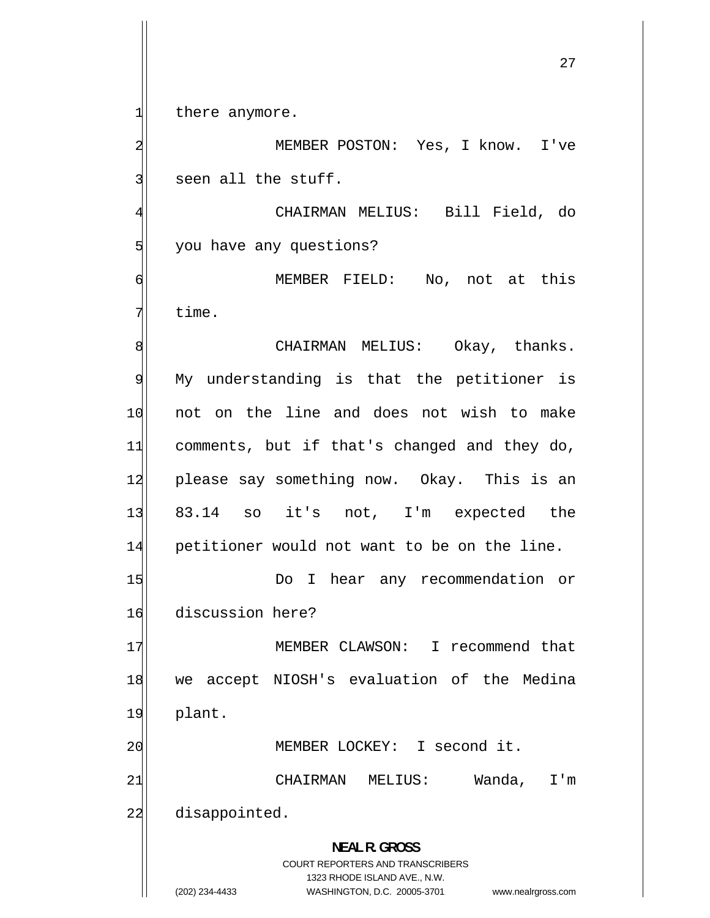there anymore.

1

2

3

6

7

 MEMBER POSTON: Yes, I know. I've seen all the stuff.

4 CHAIRMAN MELIUS: Bill Field, do 5 you have any questions?

 MEMBER FIELD: No, not at this time.

8 CHAIRMAN MELIUS: Okay, thanks. 9 My understanding is that the petitioner is 10 not on the line and does not wish to make 11 comments, but if that's changed and they do, 12 please say something now. Okay. This is an 13 83.14 so it's not, I'm expected the 14 petitioner would not want to be on the line.

15 Do I hear any recommendation or 16 discussion here?

17 MEMBER CLAWSON: I recommend that 18 we accept NIOSH's evaluation of the Medina 19 plant.

20 MEMBER LOCKEY: I second it.

21 CHAIRMAN MELIUS: Wanda, I'm 22 disappointed.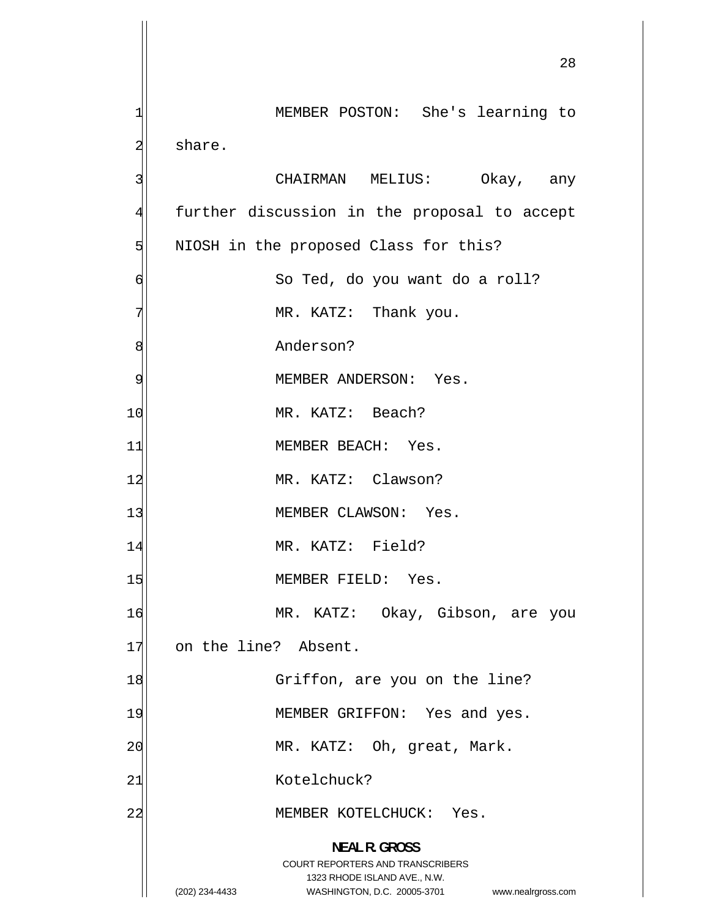<u>28</u> 1 MEMBER POSTON: She's learning to 2 share. 3 CHAIRMAN MELIUS: Okay, any 4 further discussion in the proposal to accept 5 NIOSH in the proposed Class for this? 6 So Ted, do you want do a roll? 7 MR. KATZ: Thank you. 8 Anderson? 9 MEMBER ANDERSON: Yes. 10 MR. KATZ: Beach? 11 MEMBER BEACH: Yes. 12 MR. KATZ: Clawson? 13 MEMBER CLAWSON: Yes. 14 MR. KATZ: Field? 15 MEMBER FIELD: Yes. 16 MR. KATZ: Okay, Gibson, are you 17 on the line? Absent. 18 Griffon, are you on the line? 19 MEMBER GRIFFON: Yes and yes. 20 MR. KATZ: Oh, great, Mark. 21 Kotelchuck? 22 MEMBER KOTELCHUCK: Yes. **NEAL R. GROSS**  COURT REPORTERS AND TRANSCRIBERS 1323 RHODE ISLAND AVE., N.W. (202) 234-4433 WASHINGTON, D.C. 20005-3701 www.nealrgross.com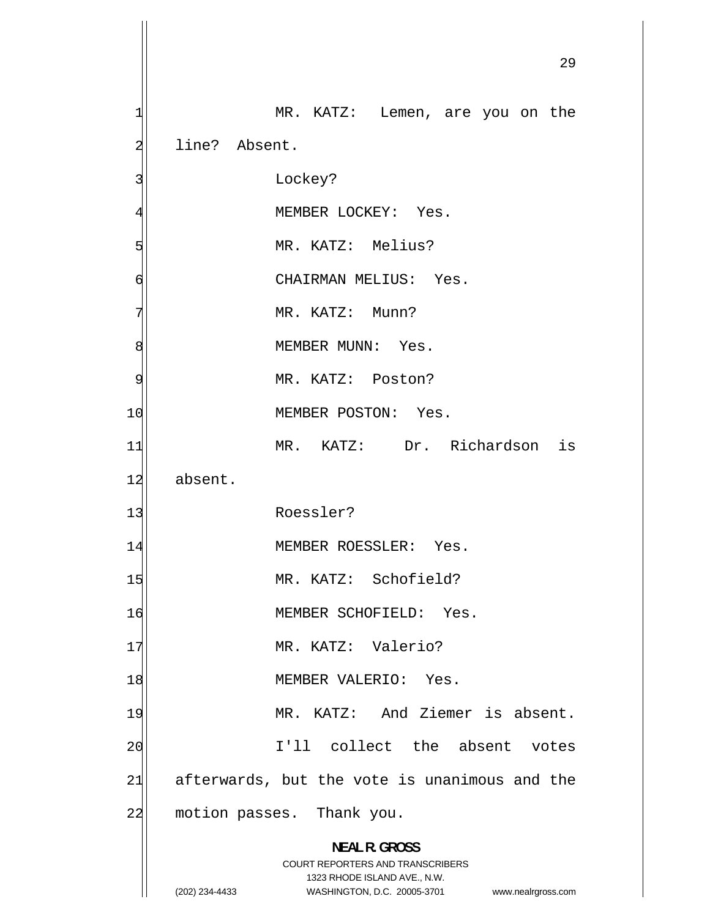|    | 29                                                                  |
|----|---------------------------------------------------------------------|
|    | MR. KATZ: Lemen, are you on the                                     |
|    | line? Absent.                                                       |
|    | Lockey?                                                             |
|    | MEMBER LOCKEY: Yes.                                                 |
|    | MR. KATZ: Melius?                                                   |
| 6  | CHAIRMAN MELIUS: Yes.                                               |
|    | MR. KATZ: Munn?                                                     |
| 8  | MEMBER MUNN: Yes.                                                   |
| 9  | MR. KATZ: Poston?                                                   |
| 10 | MEMBER POSTON: Yes.                                                 |
| 11 | MR. KATZ: Dr. Richardson is                                         |
| 12 | absent.                                                             |
| 13 | Roessler?                                                           |
| 14 | MEMBER ROESSLER: Yes.                                               |
| 15 | MR. KATZ: Schofield?                                                |
| 16 | MEMBER SCHOFIELD: Yes.                                              |
| 17 | MR. KATZ: Valerio?                                                  |
| 18 | MEMBER VALERIO: Yes.                                                |
| 19 | MR. KATZ: And Ziemer is absent.                                     |
| 20 | I'll collect the absent votes                                       |
| 21 | afterwards, but the vote is unanimous and the                       |
| 22 | motion passes. Thank you.                                           |
|    | <b>NEAL R. GROSS</b>                                                |
|    | COURT REPORTERS AND TRANSCRIBERS<br>1323 RHODE ISLAND AVE., N.W.    |
|    | (202) 234-4433<br>WASHINGTON, D.C. 20005-3701<br>www.nealrgross.com |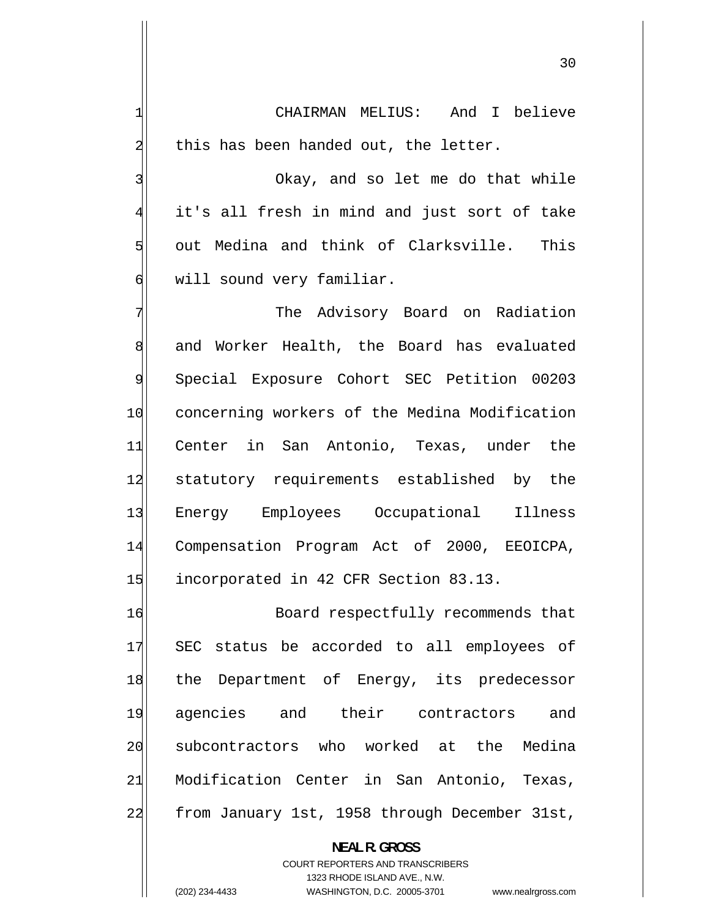CHAIRMAN MELIUS: And I believe this has been handed out, the letter.

1

2

3

4

5

6

 Okay, and so let me do that while it's all fresh in mind and just sort of take out Medina and think of Clarksville. This will sound very familiar.

7 The Advisory Board on Radiation 8 and Worker Health, the Board has evaluated 9 Special Exposure Cohort SEC Petition 00203 10 concerning workers of the Medina Modification 11 Center in San Antonio, Texas, under the 12 statutory requirements established by the 13 Energy Employees Occupational Illness 14 Compensation Program Act of 2000, EEOICPA, 15 incorporated in 42 CFR Section 83.13.

16 Board respectfully recommends that 17 SEC status be accorded to all employees of 18 the Department of Energy, its predecessor 19 agencies and their contractors and 20 subcontractors who worked at the Medina 21 Modification Center in San Antonio, Texas, 22 from January 1st, 1958 through December 31st,

> **NEAL R. GROSS**  COURT REPORTERS AND TRANSCRIBERS 1323 RHODE ISLAND AVE., N.W. (202) 234-4433 WASHINGTON, D.C. 20005-3701 www.nealrgross.com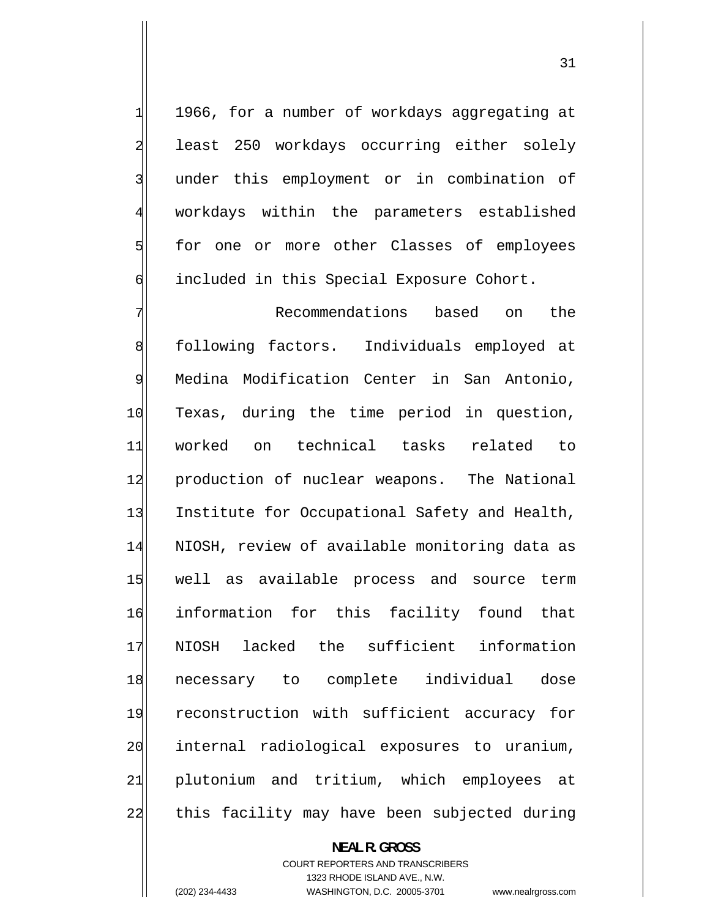1966, for a number of workdays aggregating at least 250 workdays occurring either solely under this employment or in combination of workdays within the parameters established for one or more other Classes of employees included in this Special Exposure Cohort.

7 Recommendations based on the 8 following factors. Individuals employed at 9 Medina Modification Center in San Antonio, 10 Texas, during the time period in question, 11 worked on technical tasks related to 12 production of nuclear weapons. The National 13 Institute for Occupational Safety and Health, 14 NIOSH, review of available monitoring data as 15 well as available process and source term 16 information for this facility found that 17 NIOSH lacked the sufficient information 18 necessary to complete individual dose 19 reconstruction with sufficient accuracy for 20 internal radiological exposures to uranium, 21 plutonium and tritium, which employees at 22 this facility may have been subjected during

### **NEAL R. GROSS**  COURT REPORTERS AND TRANSCRIBERS 1323 RHODE ISLAND AVE., N.W. (202) 234-4433 WASHINGTON, D.C. 20005-3701 www.nealrgross.com

1

2

3

4

5

6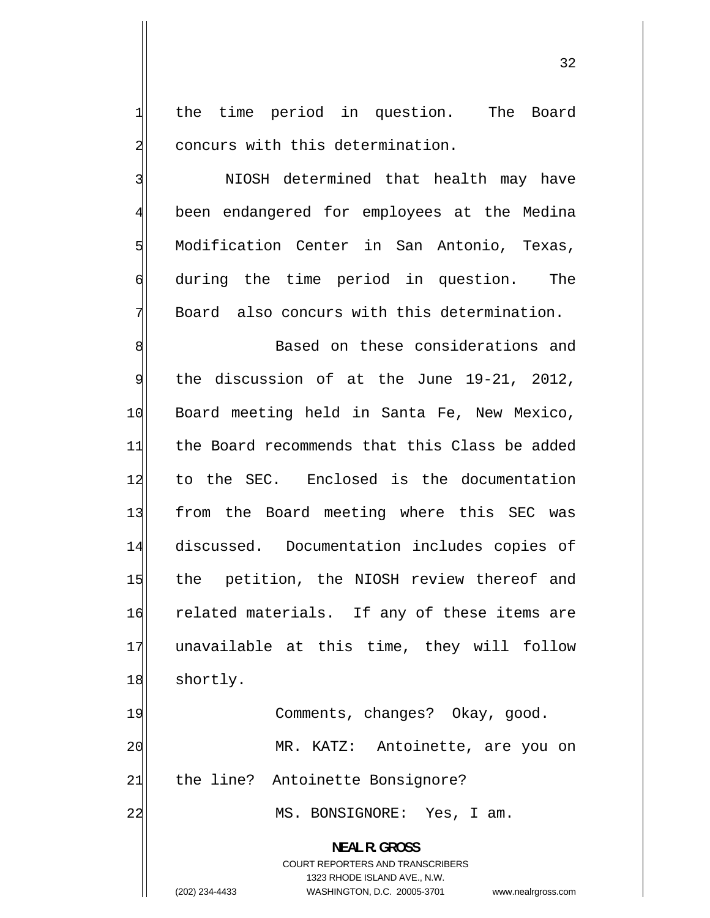the time period in question. The Board concurs with this determination.

1

2

3

4

5

6

7

 NIOSH determined that health may have been endangered for employees at the Medina Modification Center in San Antonio, Texas, during the time period in question. The Board also concurs with this determination.

8 Based on these considerations and 9 the discussion of at the June 19-21, 2012, 10 Board meeting held in Santa Fe, New Mexico, 11 the Board recommends that this Class be added 12 to the SEC. Enclosed is the documentation 13 from the Board meeting where this SEC was 14 discussed. Documentation includes copies of 15 the petition, the NIOSH review thereof and 16 related materials. If any of these items are 17 unavailable at this time, they will follow 18 shortly. 19 Comments, changes? Okay, good.

20 MR. KATZ: Antoinette, are you on 21 | the line? Antoinette Bonsignore?

22 MS. BONSIGNORE: Yes, I am.

**NEAL R. GROSS**  COURT REPORTERS AND TRANSCRIBERS 1323 RHODE ISLAND AVE., N.W. (202) 234-4433 WASHINGTON, D.C. 20005-3701 www.nealrgross.com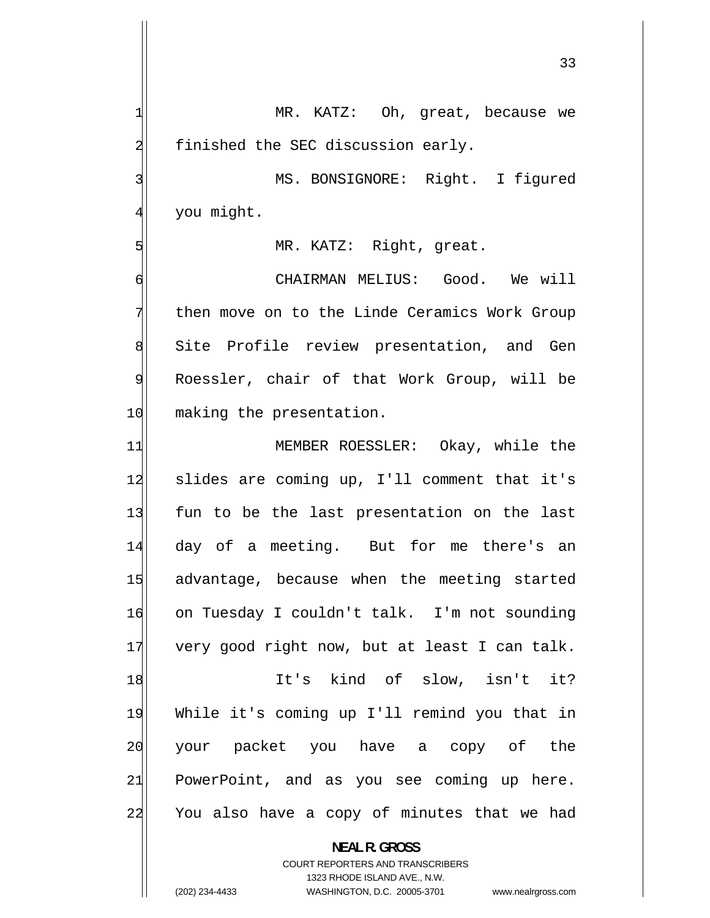33 1 MR. KATZ: Oh, great, because we 2 finished the SEC discussion early. 3 MS. BONSIGNORE: Right. I figured 4 you might. 5 MR. KATZ: Right, great. 6 CHAIRMAN MELIUS: Good. We will 7 then move on to the Linde Ceramics Work Group 8 Site Profile review presentation, and Gen 9 Roessler, chair of that Work Group, will be 10 making the presentation. 11 MEMBER ROESSLER: Okay, while the 12 slides are coming up, I'll comment that it's 13 fun to be the last presentation on the last 14 day of a meeting. But for me there's an 15 advantage, because when the meeting started 16 on Tuesday I couldn't talk. I'm not sounding 17 very good right now, but at least I can talk. 18 It's kind of slow, isn't it? 19 While it's coming up I'll remind you that in 20 your packet you have a copy of the 21 PowerPoint, and as you see coming up here. 22 You also have a copy of minutes that we had **NEAL R. GROSS** 

> COURT REPORTERS AND TRANSCRIBERS 1323 RHODE ISLAND AVE., N.W.

(202) 234-4433 WASHINGTON, D.C. 20005-3701 www.nealrgross.com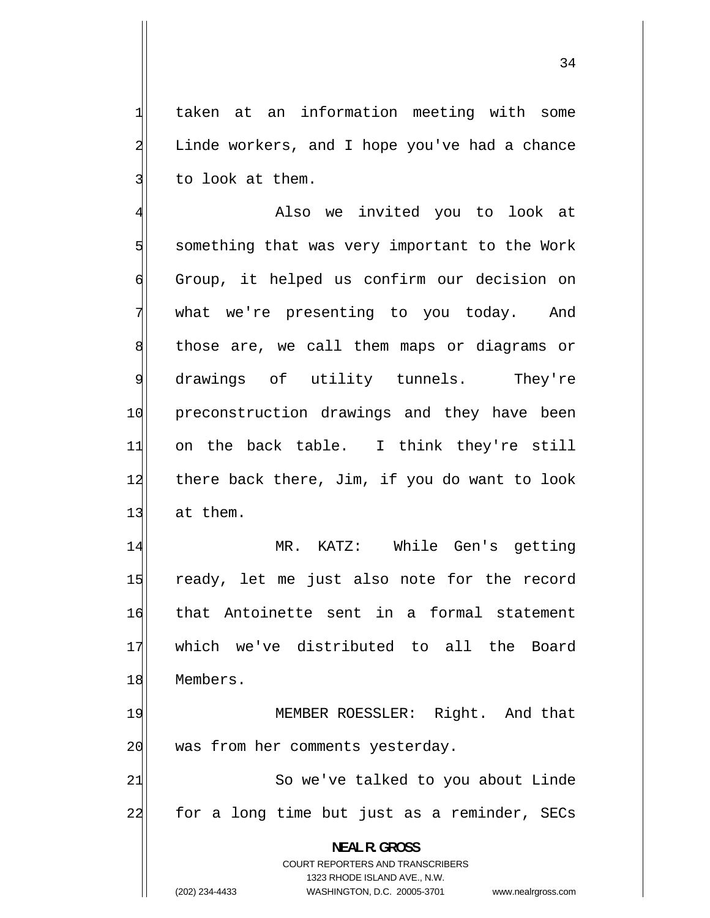taken at an information meeting with some Linde workers, and I hope you've had a chance to look at them.

1

2

3

34

4 Also we invited you to look at 5 something that was very important to the Work 6 Group, it helped us confirm our decision on 7 what we're presenting to you today. And 8 those are, we call them maps or diagrams or 9 drawings of utility tunnels. They're 10 preconstruction drawings and they have been 11 on the back table. I think they're still 12 there back there, Jim, if you do want to look 13 at them.

14 MR. KATZ: While Gen's getting 15 ready, let me just also note for the record 16 that Antoinette sent in a formal statement 17 which we've distributed to all the Board 18 Members.

19 MEMBER ROESSLER: Right. And that 20 was from her comments yesterday.

21 So we've talked to you about Linde 22 for a long time but just as a reminder, SECs

**NEAL R. GROSS**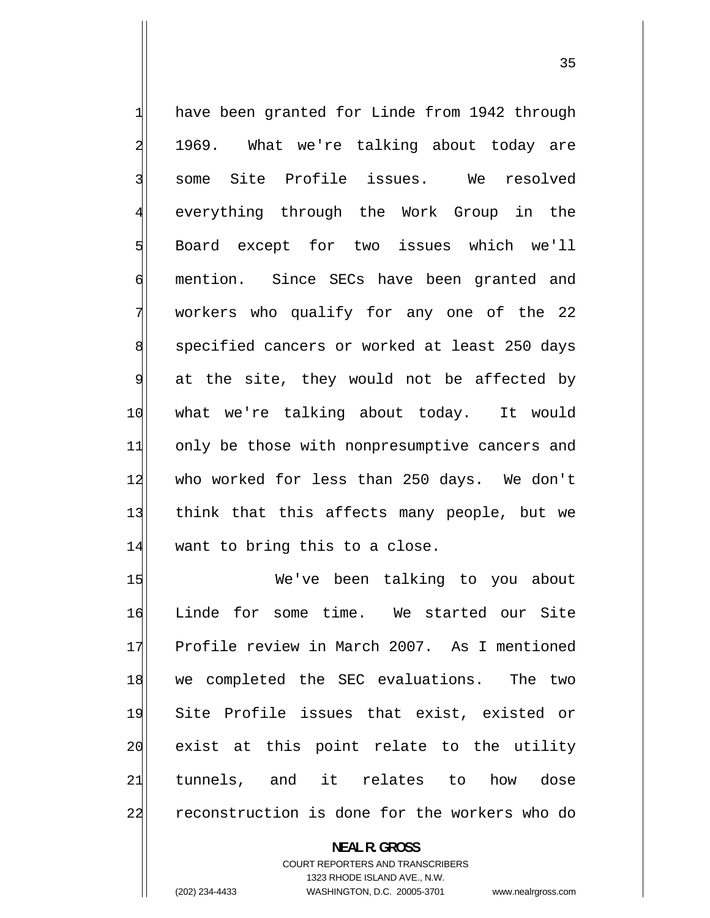1 have been granted for Linde from 1942 through 2 1969. What we're talking about today are 3 some Site Profile issues. We resolved 4 everything through the Work Group in the 5 Board except for two issues which we'll 6 mention. Since SECs have been granted and 7 workers who qualify for any one of the 22 8 specified cancers or worked at least 250 days 9 at the site, they would not be affected by 10 what we're talking about today. It would 11 only be those with nonpresumptive cancers and 12 who worked for less than 250 days. We don't 13 think that this affects many people, but we 14 want to bring this to a close.

15 We've been talking to you about 16 Linde for some time. We started our Site 17 Profile review in March 2007. As I mentioned 18 we completed the SEC evaluations. The two 19 Site Profile issues that exist, existed or 20 exist at this point relate to the utility 21 tunnels, and it relates to how dose 22 reconstruction is done for the workers who do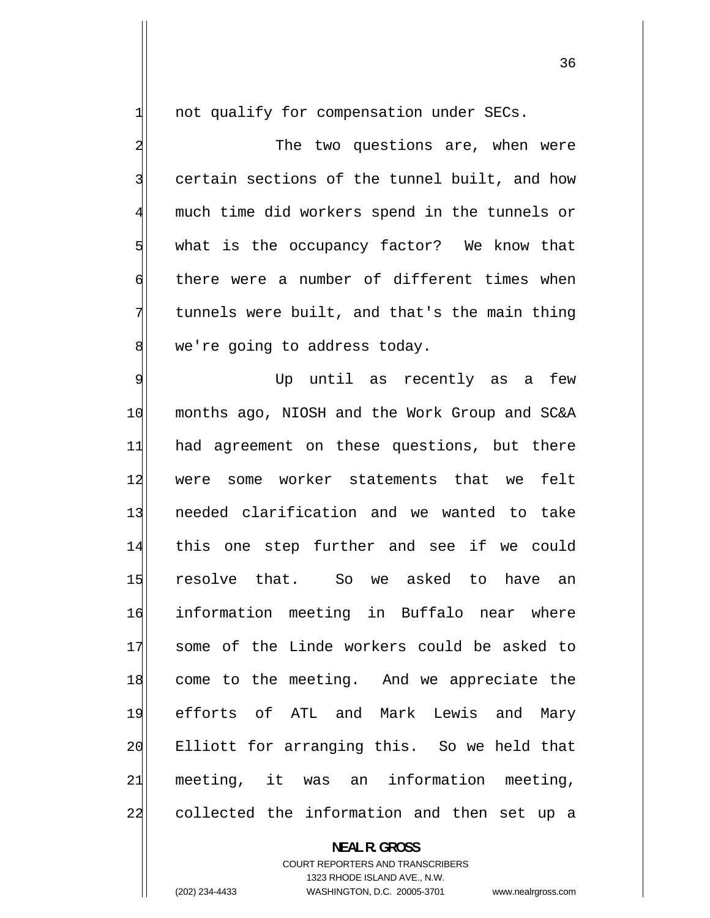not qualify for compensation under SECs.

1

2

3

4

5

6

7

8

 The two questions are, when were certain sections of the tunnel built, and how much time did workers spend in the tunnels or what is the occupancy factor? We know that there were a number of different times when tunnels were built, and that's the main thing we're going to address today.

9 Up until as recently as a few 10 months ago, NIOSH and the Work Group and SC&A 11 had agreement on these questions, but there 12 were some worker statements that we felt 13 needed clarification and we wanted to take 14 this one step further and see if we could 15 resolve that. So we asked to have an 16 information meeting in Buffalo near where 17 some of the Linde workers could be asked to 18 come to the meeting. And we appreciate the 19 efforts of ATL and Mark Lewis and Mary 20 Elliott for arranging this. So we held that 21 meeting, it was an information meeting, 22 collected the information and then set up a

#### **NEAL R. GROSS**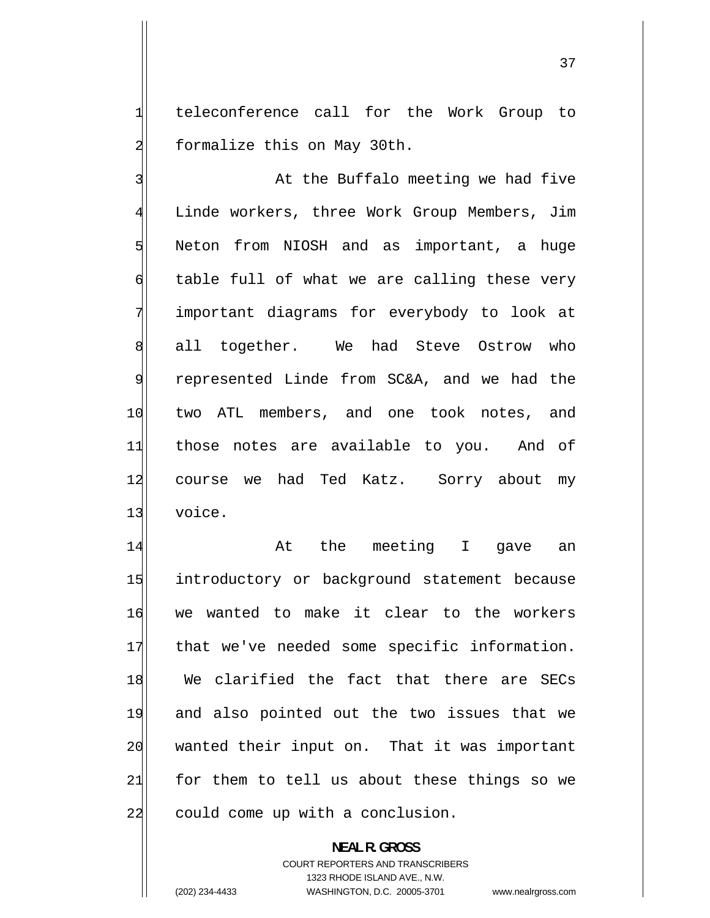teleconference call for the Work Group to formalize this on May 30th.

1

2

3 At the Buffalo meeting we had five 4 Linde workers, three Work Group Members, Jim 5 Neton from NIOSH and as important, a huge 6 table full of what we are calling these very 7 important diagrams for everybody to look at 8 all together. We had Steve Ostrow who 9 represented Linde from SC&A, and we had the 10 two ATL members, and one took notes, and 11 those notes are available to you. And of 12 course we had Ted Katz. Sorry about my 13 voice.

14 At the meeting I gave an 15 introductory or background statement because 16 we wanted to make it clear to the workers 17 that we've needed some specific information. 18 We clarified the fact that there are SECs 19 and also pointed out the two issues that we 20 wanted their input on. That it was important 21 for them to tell us about these things so we 22 could come up with a conclusion.

> **NEAL R. GROSS**  COURT REPORTERS AND TRANSCRIBERS 1323 RHODE ISLAND AVE., N.W.

(202) 234-4433 WASHINGTON, D.C. 20005-3701 www.nealrgross.com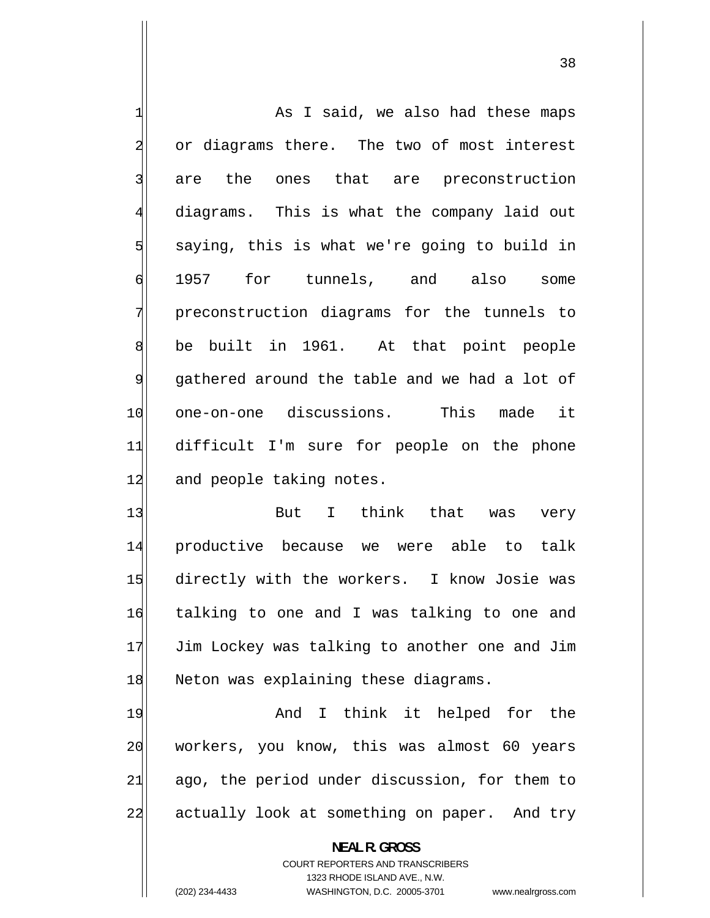1 As I said, we also had these maps 2 or diagrams there. The two of most interest 3 are the ones that are preconstruction 4 diagrams. This is what the company laid out 5 saying, this is what we're going to build in 6 1957 for tunnels, and also some 7 preconstruction diagrams for the tunnels to 8 be built in 1961. At that point people 9 gathered around the table and we had a lot of 10 one-on-one discussions. This made it 11 difficult I'm sure for people on the phone 12 and people taking notes.

38

13 But I think that was very 14 productive because we were able to talk 15 directly with the workers. I know Josie was 16 talking to one and I was talking to one and 17 Jim Lockey was talking to another one and Jim 18 Neton was explaining these diagrams.

19 And I think it helped for the 20 workers, you know, this was almost 60 years 21 ago, the period under discussion, for them to 22 actually look at something on paper. And try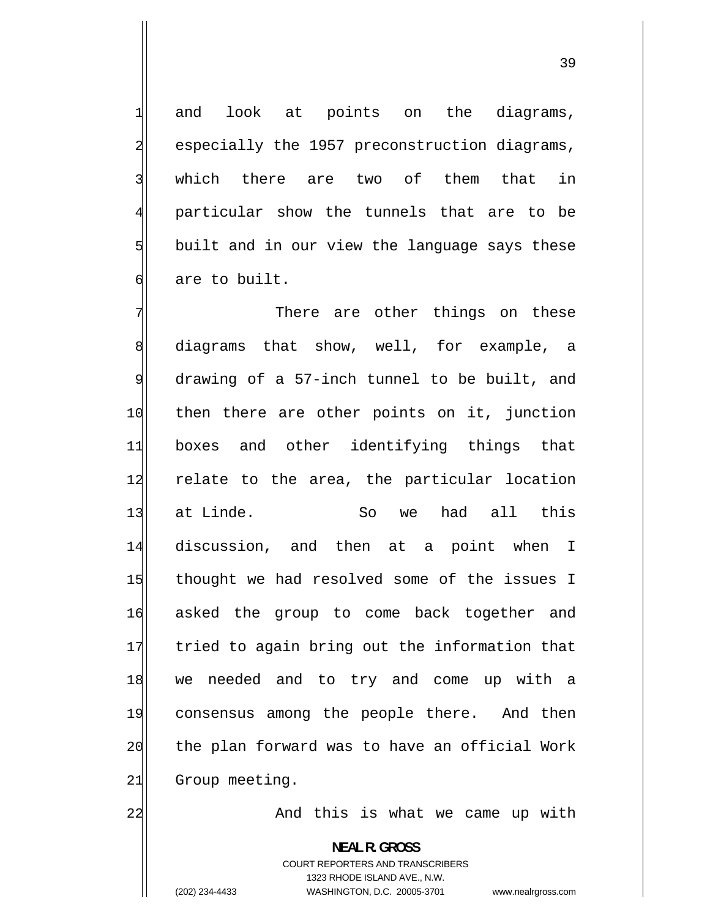and look at points on the diagrams, especially the 1957 preconstruction diagrams, which there are two of them that in particular show the tunnels that are to be built and in our view the language says these are to built.

7 There are other things on these 8 diagrams that show, well, for example, a 9 drawing of a 57-inch tunnel to be built, and 10 then there are other points on it, junction 11 boxes and other identifying things that 12 relate to the area, the particular location 13 at Linde. So we had all this 14 discussion, and then at a point when I 15 thought we had resolved some of the issues I 16 asked the group to come back together and 17 tried to again bring out the information that 18 we needed and to try and come up with a 19 consensus among the people there. And then 20 the plan forward was to have an official Work 21 Group meeting.

And this is what we came up with

**NEAL R. GROSS**  COURT REPORTERS AND TRANSCRIBERS 1323 RHODE ISLAND AVE., N.W. (202) 234-4433 WASHINGTON, D.C. 20005-3701 www.nealrgross.com

22

1

2

3

4

5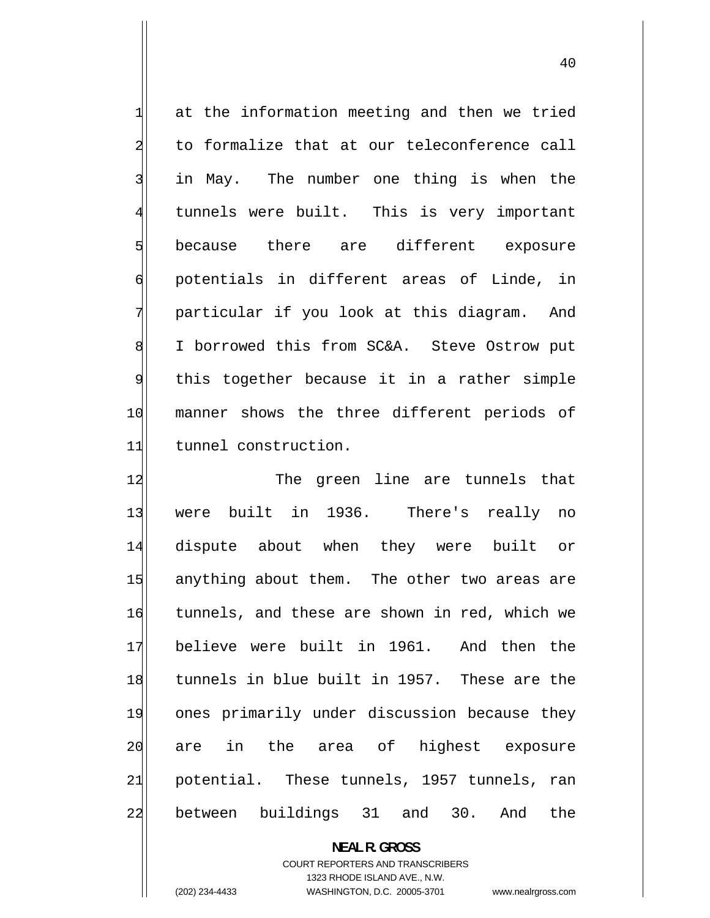1 at the information meeting and then we tried 2 to formalize that at our teleconference call 3 in May. The number one thing is when the 4 tunnels were built. This is very important 5 because there are different exposure 6 potentials in different areas of Linde, in 7 particular if you look at this diagram. And 8 I borrowed this from SC&A. Steve Ostrow put 9 this together because it in a rather simple 10 manner shows the three different periods of 11 tunnel construction.

12 The green line are tunnels that 13 were built in 1936. There's really no 14 dispute about when they were built or 15 anything about them. The other two areas are 16 tunnels, and these are shown in red, which we 17 believe were built in 1961. And then the 18 tunnels in blue built in 1957. These are the 19 ones primarily under discussion because they 20 are in the area of highest exposure 21 potential. These tunnels, 1957 tunnels, ran 22 between buildings 31 and 30. And the

> **NEAL R. GROSS**  COURT REPORTERS AND TRANSCRIBERS 1323 RHODE ISLAND AVE., N.W.

(202) 234-4433 WASHINGTON, D.C. 20005-3701 www.nealrgross.com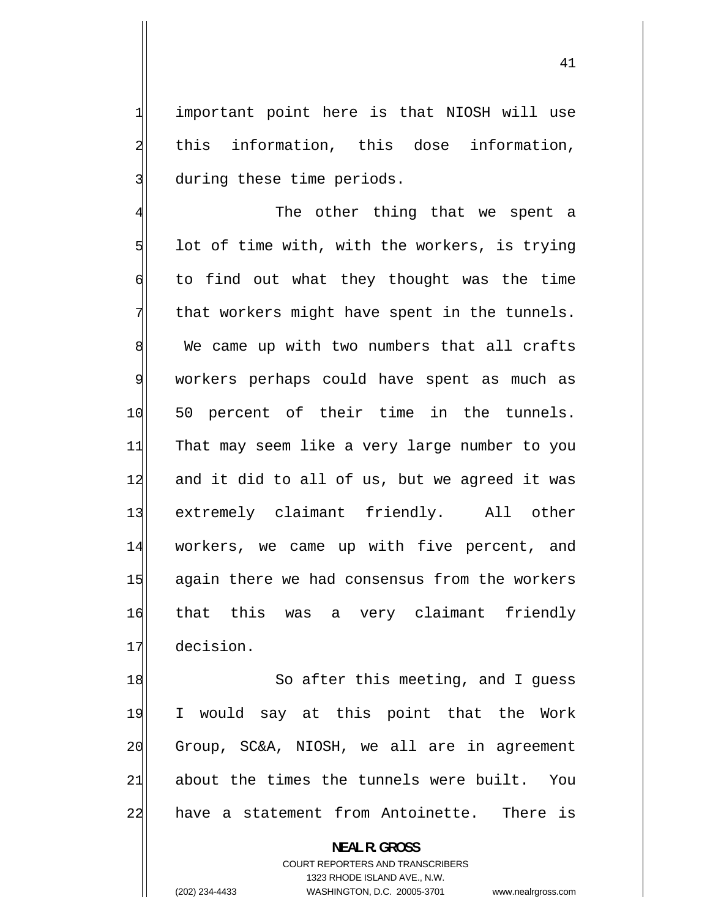important point here is that NIOSH will use this information, this dose information, during these time periods.

1

2

3

4 The other thing that we spent a 5 lot of time with, with the workers, is trying 6 to find out what they thought was the time 7 that workers might have spent in the tunnels. 8 We came up with two numbers that all crafts 9 workers perhaps could have spent as much as 10 50 percent of their time in the tunnels. 11 That may seem like a very large number to you 12 and it did to all of us, but we agreed it was 13 extremely claimant friendly. All other 14 workers, we came up with five percent, and 15 again there we had consensus from the workers 16 that this was a very claimant friendly 17 decision.

18 So after this meeting, and I guess 19 I would say at this point that the Work 20 Group, SC&A, NIOSH, we all are in agreement 21 about the times the tunnels were built. You 22 have a statement from Antoinette. There is

> **NEAL R. GROSS**  COURT REPORTERS AND TRANSCRIBERS 1323 RHODE ISLAND AVE., N.W. (202) 234-4433 WASHINGTON, D.C. 20005-3701 www.nealrgross.com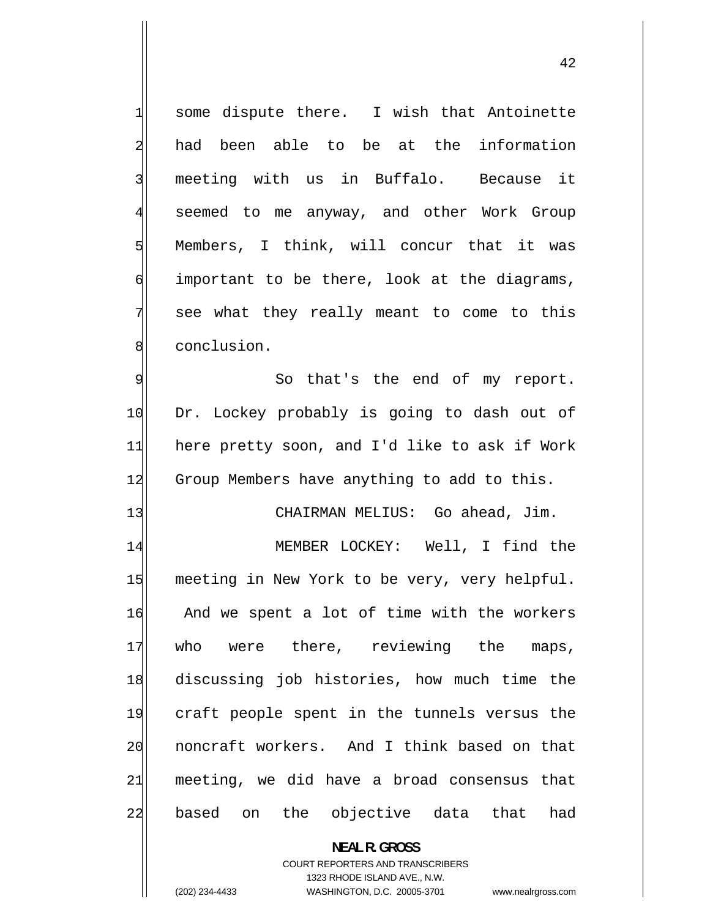some dispute there. I wish that Antoinette had been able to be at the information meeting with us in Buffalo. Because it seemed to me anyway, and other Work Group Members, I think, will concur that it was important to be there, look at the diagrams, see what they really meant to come to this conclusion.

9 So that's the end of my report. 10 Dr. Lockey probably is going to dash out of 11 here pretty soon, and I'd like to ask if Work 12 Group Members have anything to add to this.

13 | CHAIRMAN MELIUS: Go ahead, Jim.

14 MEMBER LOCKEY: Well, I find the 15 meeting in New York to be very, very helpful. 16 And we spent a lot of time with the workers 17 who were there, reviewing the maps, 18 discussing job histories, how much time the 19 craft people spent in the tunnels versus the 20 noncraft workers. And I think based on that 21 meeting, we did have a broad consensus that 22 based on the objective data that had

> **NEAL R. GROSS**  COURT REPORTERS AND TRANSCRIBERS 1323 RHODE ISLAND AVE., N.W.

(202) 234-4433 WASHINGTON, D.C. 20005-3701 www.nealrgross.com

1

2

3

4

5

6

7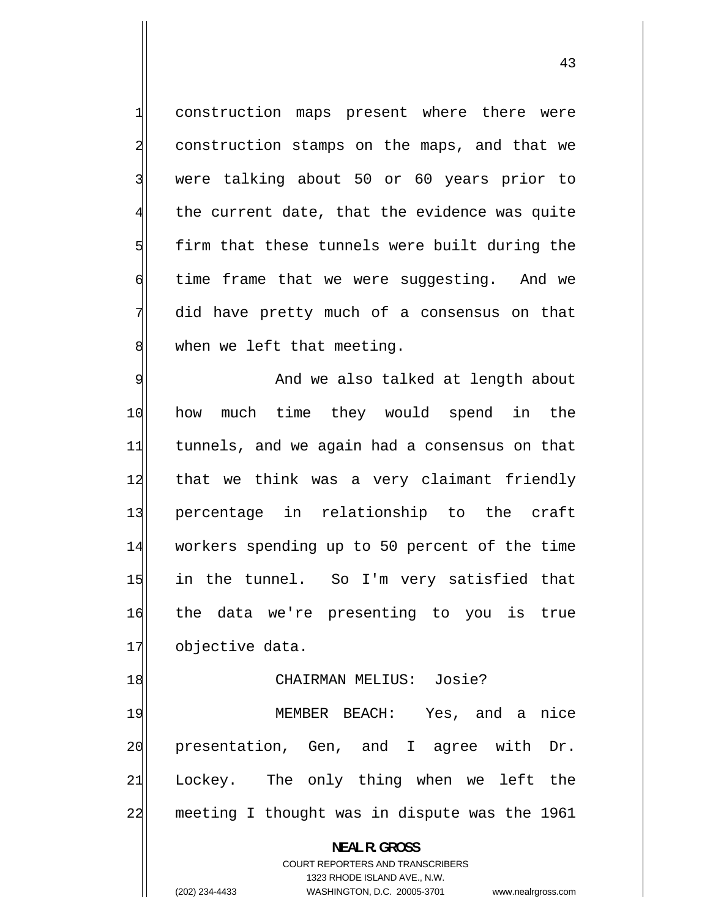construction maps present where there were construction stamps on the maps, and that we were talking about 50 or 60 years prior to the current date, that the evidence was quite firm that these tunnels were built during the time frame that we were suggesting. And we did have pretty much of a consensus on that when we left that meeting.

1

2

3

4

5

6

7

8

9 And we also talked at length about 10 how much time they would spend in the 11 tunnels, and we again had a consensus on that 12 that we think was a very claimant friendly 13 percentage in relationship to the craft 14 workers spending up to 50 percent of the time 15 in the tunnel. So I'm very satisfied that 16 the data we're presenting to you is true 17 objective data.

# 18 CHAIRMAN MELIUS: Josie?

19 MEMBER BEACH: Yes, and a nice 20 presentation, Gen, and I agree with Dr. 21 Lockey. The only thing when we left the 22 meeting I thought was in dispute was the 1961

**NEAL R. GROSS** 

COURT REPORTERS AND TRANSCRIBERS 1323 RHODE ISLAND AVE., N.W. (202) 234-4433 WASHINGTON, D.C. 20005-3701 www.nealrgross.com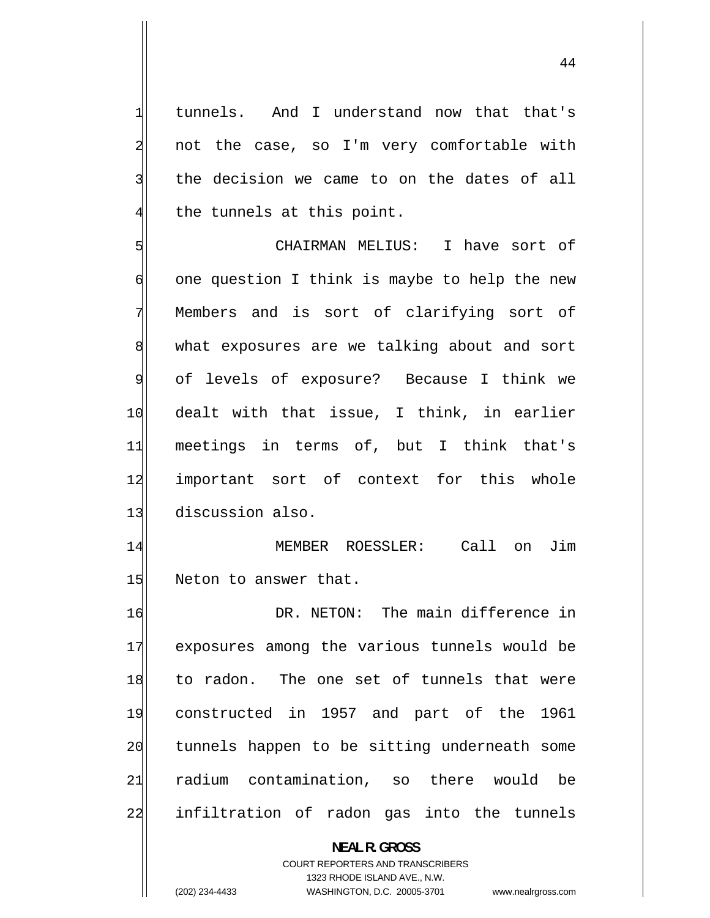tunnels. And I understand now that that's not the case, so I'm very comfortable with the decision we came to on the dates of all the tunnels at this point.

1

2

3

4

5 CHAIRMAN MELIUS: I have sort of 6 one question I think is maybe to help the new 7 Members and is sort of clarifying sort of 8 what exposures are we talking about and sort 9 of levels of exposure? Because I think we 10 dealt with that issue, I think, in earlier 11 meetings in terms of, but I think that's 12 important sort of context for this whole 13 discussion also.

14 MEMBER ROESSLER: Call on Jim 15 Neton to answer that.

16 DR. NETON: The main difference in 17 exposures among the various tunnels would be 18 to radon. The one set of tunnels that were 19 constructed in 1957 and part of the 1961 20 tunnels happen to be sitting underneath some 21 radium contamination, so there would be 22 infiltration of radon gas into the tunnels

**NEAL R. GROSS** 

COURT REPORTERS AND TRANSCRIBERS 1323 RHODE ISLAND AVE., N.W.

(202) 234-4433 WASHINGTON, D.C. 20005-3701 www.nealrgross.com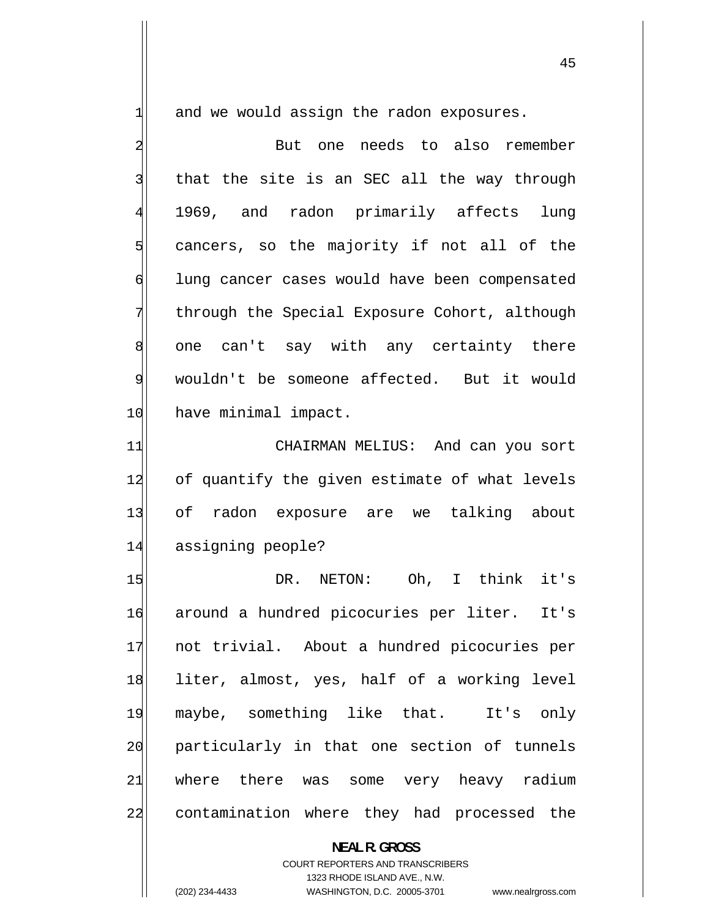and we would assign the radon exposures.

1

45

2 But one needs to also remember 3 that the site is an SEC all the way through 4 1969, and radon primarily affects lung 5 cancers, so the majority if not all of the 6 lung cancer cases would have been compensated 7 through the Special Exposure Cohort, although 8 one can't say with any certainty there 9 wouldn't be someone affected. But it would 10 have minimal impact.

11 CHAIRMAN MELIUS: And can you sort 12 of quantify the given estimate of what levels 13 of radon exposure are we talking about 14 assigning people?

15 DR. NETON: Oh, I think it's 16 around a hundred picocuries per liter. It's 17 not trivial. About a hundred picocuries per 18 liter, almost, yes, half of a working level 19 maybe, something like that. It's only 20 particularly in that one section of tunnels 21 where there was some very heavy radium 22 contamination where they had processed the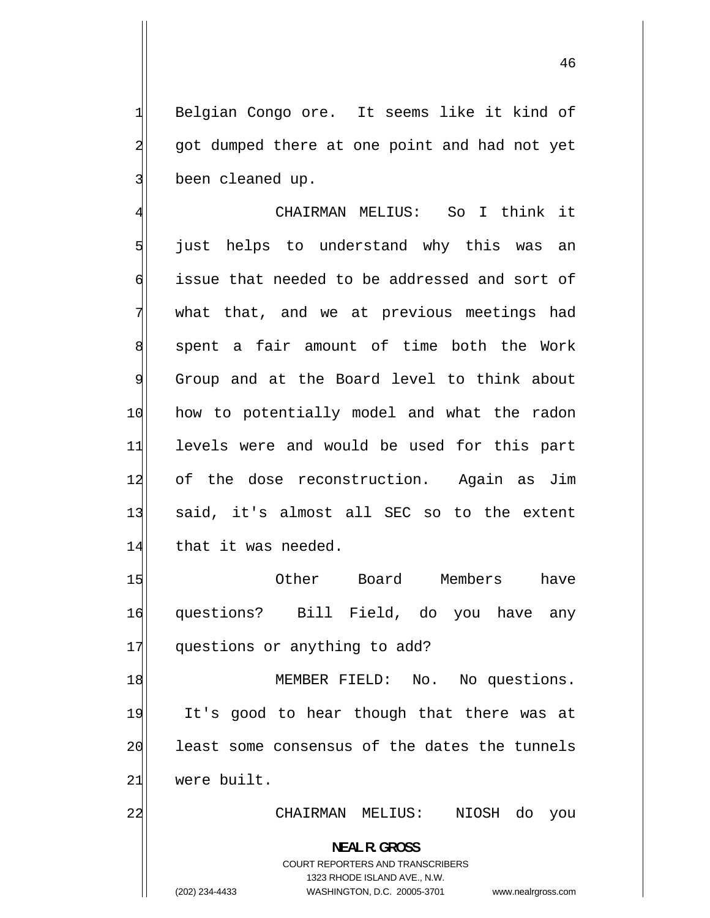Belgian Congo ore. It seems like it kind of got dumped there at one point and had not yet been cleaned up.

4 CHAIRMAN MELIUS: So I think it 5 just helps to understand why this was an 6 issue that needed to be addressed and sort of 7 what that, and we at previous meetings had 8 spent a fair amount of time both the Work 9 Group and at the Board level to think about 10 how to potentially model and what the radon 11 levels were and would be used for this part 12 of the dose reconstruction. Again as Jim 13 said, it's almost all SEC so to the extent 14 that it was needed.

15 Other Board Members have 16 questions? Bill Field, do you have any 17 questions or anything to add?

18 MEMBER FIELD: No. No questions. 19 It's good to hear though that there was at 20 least some consensus of the dates the tunnels 21 were built.

22 CHAIRMAN MELIUS: NIOSH do you

**NEAL R. GROSS**  COURT REPORTERS AND TRANSCRIBERS

1323 RHODE ISLAND AVE., N.W.

1

2

3

(202) 234-4433 WASHINGTON, D.C. 20005-3701 www.nealrgross.com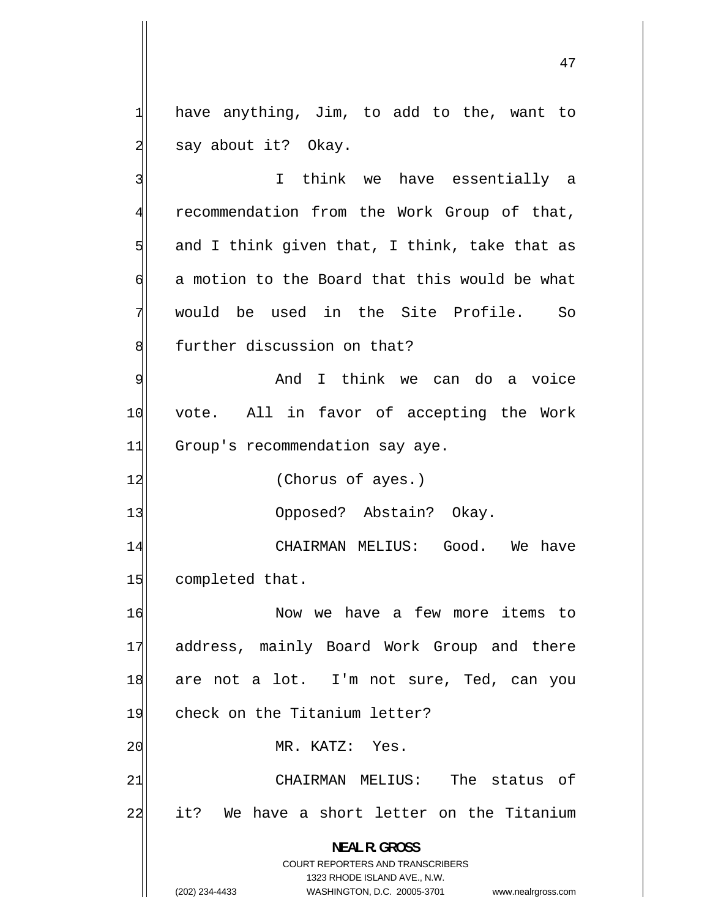have anything, Jim, to add to the, want to say about it? Okay.

3 I think we have essentially a 4 recommendation from the Work Group of that, 5 and I think given that, I think, take that as 6 a motion to the Board that this would be what 7 would be used in the Site Profile. So 8 further discussion on that? 9 And I think we can do a voice 10 vote. All in favor of accepting the Work 11 Group's recommendation say aye. 12 (Chorus of ayes.) 13 Opposed? Abstain? Okay. 14 CHAIRMAN MELIUS: Good. We have 15 completed that. 16 Now we have a few more items to 17 address, mainly Board Work Group and there 18 are not a lot. I'm not sure, Ted, can you 19 check on the Titanium letter? 20 MR. KATZ: Yes. 21 CHAIRMAN MELIUS: The status of 22 it? We have a short letter on the Titanium

1323 RHODE ISLAND AVE., N.W.

**NEAL R. GROSS**  COURT REPORTERS AND TRANSCRIBERS

1

2

(202) 234-4433 WASHINGTON, D.C. 20005-3701 www.nealrgross.com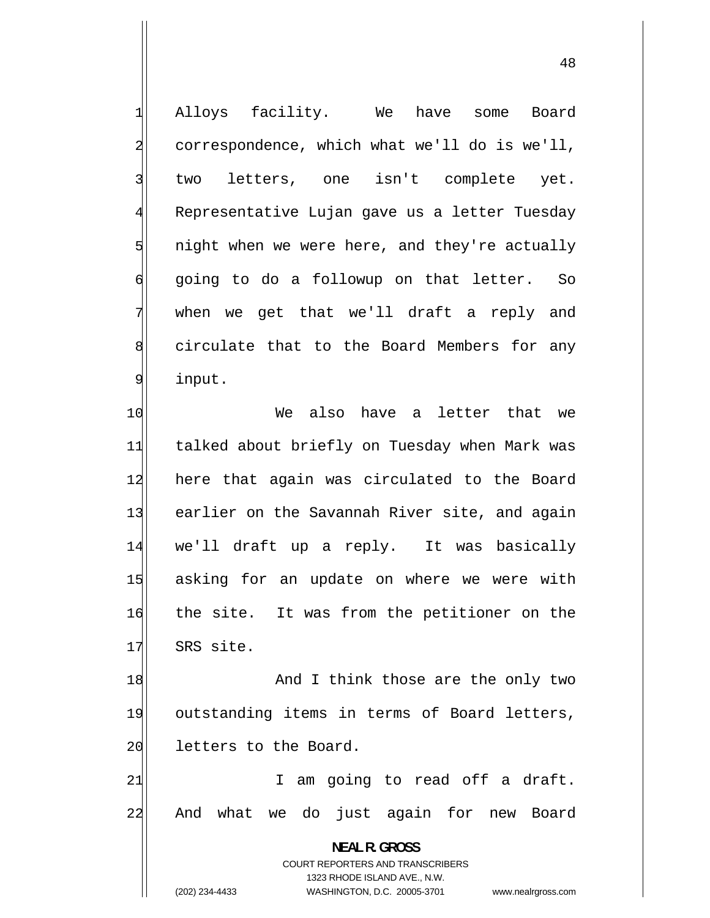Alloys facility. We have some Board correspondence, which what we'll do is we'll, two letters, one isn't complete yet. Representative Lujan gave us a letter Tuesday night when we were here, and they're actually going to do a followup on that letter. So when we get that we'll draft a reply and circulate that to the Board Members for any input.

1

2

3

4

5

6

7

8

9

10 We also have a letter that we 11 talked about briefly on Tuesday when Mark was 12 here that again was circulated to the Board 13 earlier on the Savannah River site, and again 14 we'll draft up a reply. It was basically 15 asking for an update on where we were with 16 the site. It was from the petitioner on the 17 SRS site.

18 And I think those are the only two 19 outstanding items in terms of Board letters, 20 letters to the Board.

21 I am going to read off a draft. 22 And what we do just again for new Board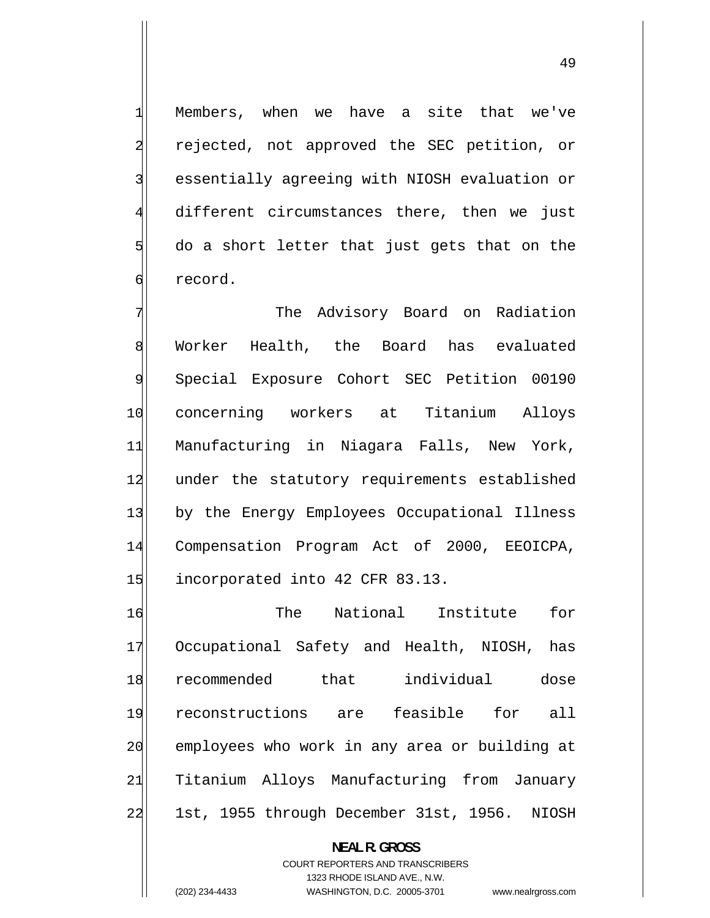Members, when we have a site that we've rejected, not approved the SEC petition, or essentially agreeing with NIOSH evaluation or different circumstances there, then we just do a short letter that just gets that on the record.

1

2

3

4

5

6

7 The Advisory Board on Radiation 8 Worker Health, the Board has evaluated 9 Special Exposure Cohort SEC Petition 00190 10 concerning workers at Titanium Alloys 11 Manufacturing in Niagara Falls, New York, 12 under the statutory requirements established 13 by the Energy Employees Occupational Illness 14 Compensation Program Act of 2000, EEOICPA, 15 incorporated into 42 CFR 83.13.

16 The National Institute for 17 Occupational Safety and Health, NIOSH, has 18 recommended that individual dose 19 reconstructions are feasible for all 20 employees who work in any area or building at 21 Titanium Alloys Manufacturing from January 22 1st, 1955 through December 31st, 1956. NIOSH

**NEAL R. GROSS** 

COURT REPORTERS AND TRANSCRIBERS 1323 RHODE ISLAND AVE., N.W. (202) 234-4433 WASHINGTON, D.C. 20005-3701 www.nealrgross.com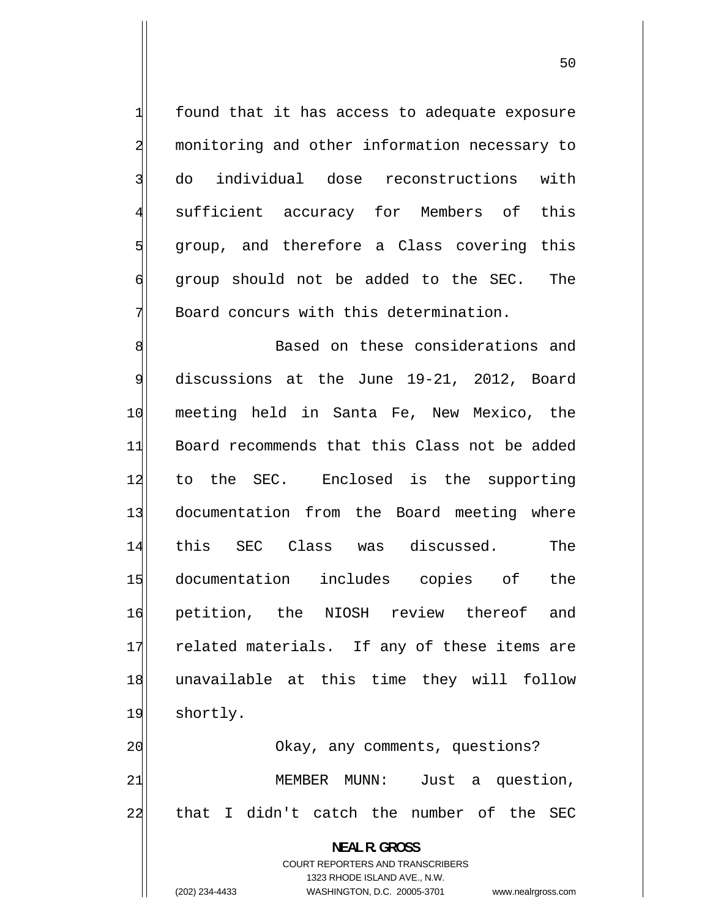found that it has access to adequate exposure monitoring and other information necessary to do individual dose reconstructions with sufficient accuracy for Members of this group, and therefore a Class covering this group should not be added to the SEC. The Board concurs with this determination.

1

2

3

4

5

6

7

8 Based on these considerations and 9 discussions at the June 19-21, 2012, Board 10 meeting held in Santa Fe, New Mexico, the 11 Board recommends that this Class not be added 12 to the SEC. Enclosed is the supporting 13 documentation from the Board meeting where 14 this SEC Class was discussed. The 15 documentation includes copies of the 16 petition, the NIOSH review thereof and 17 related materials. If any of these items are 18 unavailable at this time they will follow 19 shortly.

20 | Okay, any comments, questions? 21 MEMBER MUNN: Just a question, 22 that I didn't catch the number of the SEC

> **NEAL R. GROSS**  COURT REPORTERS AND TRANSCRIBERS 1323 RHODE ISLAND AVE., N.W. (202) 234-4433 WASHINGTON, D.C. 20005-3701 www.nealrgross.com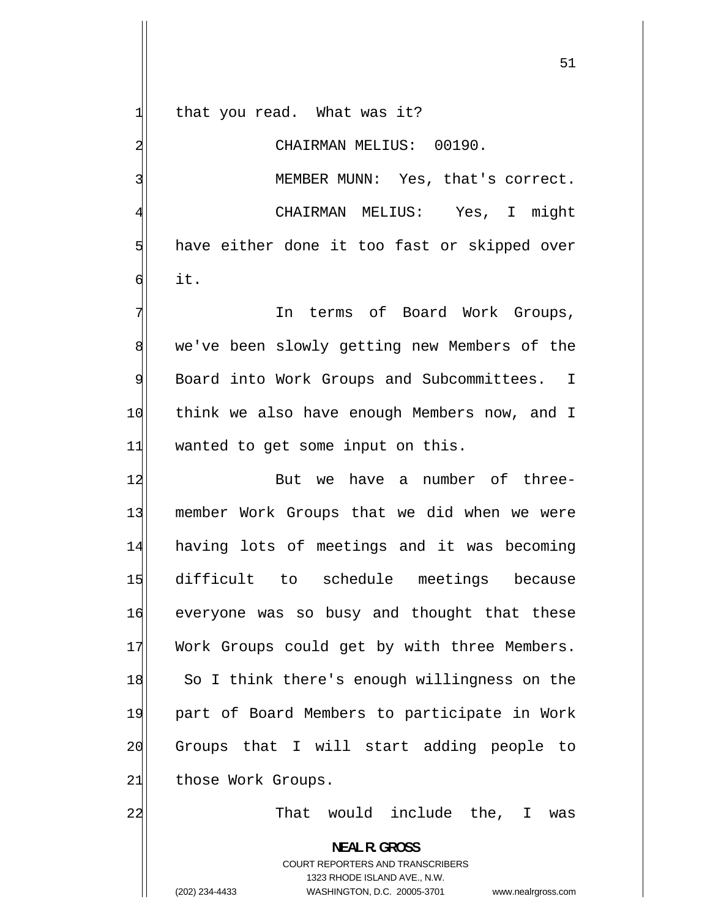that you read. What was it?

1

2

3

4

6

CHAIRMAN MELIUS: 00190.

 MEMBER MUNN: Yes, that's correct. CHAIRMAN MELIUS: Yes, I might 5 have either done it too fast or skipped over it.

7 In terms of Board Work Groups, 8 we've been slowly getting new Members of the 9 Board into Work Groups and Subcommittees. I 10 think we also have enough Members now, and I 11 wanted to get some input on this.

12 But we have a number of three-13 member Work Groups that we did when we were 14 having lots of meetings and it was becoming 15 difficult to schedule meetings because 16 everyone was so busy and thought that these 17 Work Groups could get by with three Members. 18 So I think there's enough willingness on the 19 part of Board Members to participate in Work 20 Groups that I will start adding people to 21 those Work Groups.

That would include the, I was

**NEAL R. GROSS**  COURT REPORTERS AND TRANSCRIBERS 1323 RHODE ISLAND AVE., N.W. (202) 234-4433 WASHINGTON, D.C. 20005-3701 www.nealrgross.com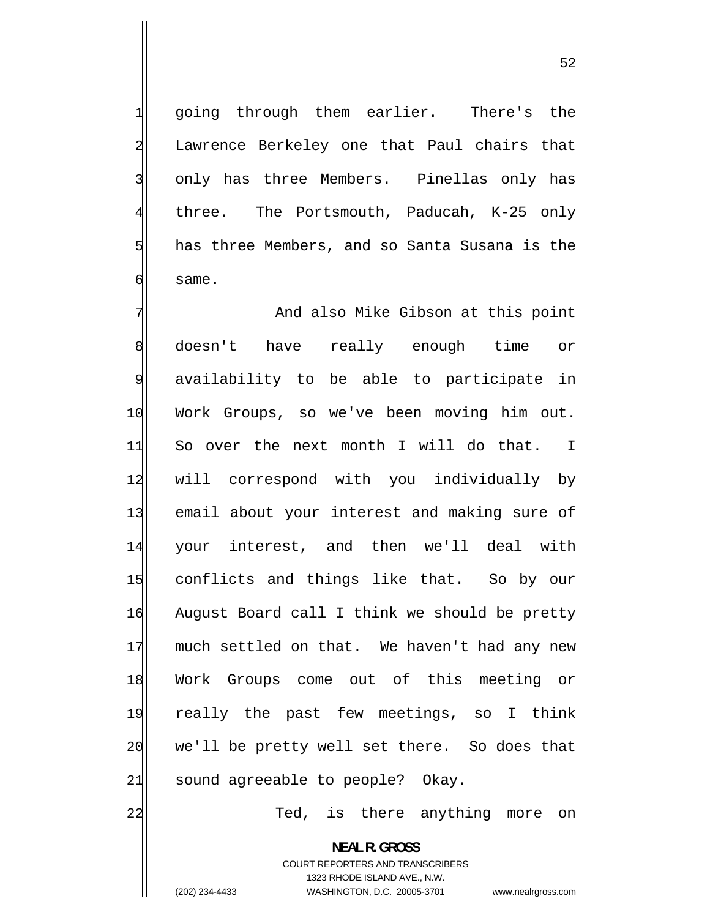going through them earlier. There's the Lawrence Berkeley one that Paul chairs that only has three Members. Pinellas only has three. The Portsmouth, Paducah, K-25 only has three Members, and so Santa Susana is the same.

7 And also Mike Gibson at this point 8 doesn't have really enough time or 9 availability to be able to participate in 10 Work Groups, so we've been moving him out. 11 So over the next month I will do that. I 12 will correspond with you individually by 13 email about your interest and making sure of 14 your interest, and then we'll deal with 15 conflicts and things like that. So by our 16 August Board call I think we should be pretty 17 much settled on that. We haven't had any new 18 Work Groups come out of this meeting or 19 really the past few meetings, so I think 20 we'll be pretty well set there. So does that 21 sound agreeable to people? Okay.

Ted, is there anything more on

**NEAL R. GROSS**  COURT REPORTERS AND TRANSCRIBERS 1323 RHODE ISLAND AVE., N.W. (202) 234-4433 WASHINGTON, D.C. 20005-3701 www.nealrgross.com

22

1

2

3

4

5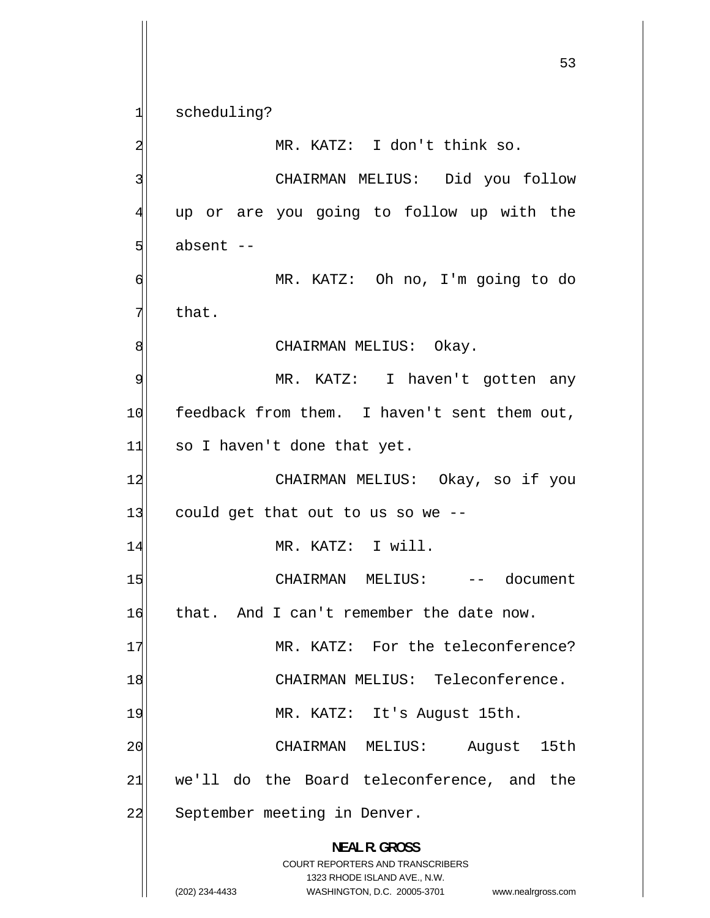scheduling?

1

2 MR. KATZ: I don't think so. 3 CHAIRMAN MELIUS: Did you follow 4 up or are you going to follow up with the 5 absent -- 6 MR. KATZ: Oh no, I'm going to do 7 that. 8 CHAIRMAN MELIUS: Okay. 9 MR. KATZ: I haven't gotten any 10 feedback from them. I haven't sent them out, 11 so I haven't done that yet. 12 CHAIRMAN MELIUS: Okay, so if you  $13$  could get that out to us so we  $-$ 14 MR. KATZ: I will. 15 CHAIRMAN MELIUS: -- document 16 that. And I can't remember the date now. 17 MR. KATZ: For the teleconference? 18 CHAIRMAN MELIUS: Teleconference. 19 MR. KATZ: It's August 15th. 20 CHAIRMAN MELIUS: August 15th 21 we'll do the Board teleconference, and the 22 September meeting in Denver. **NEAL R. GROSS**  COURT REPORTERS AND TRANSCRIBERS 1323 RHODE ISLAND AVE., N.W. (202) 234-4433 WASHINGTON, D.C. 20005-3701 www.nealrgross.com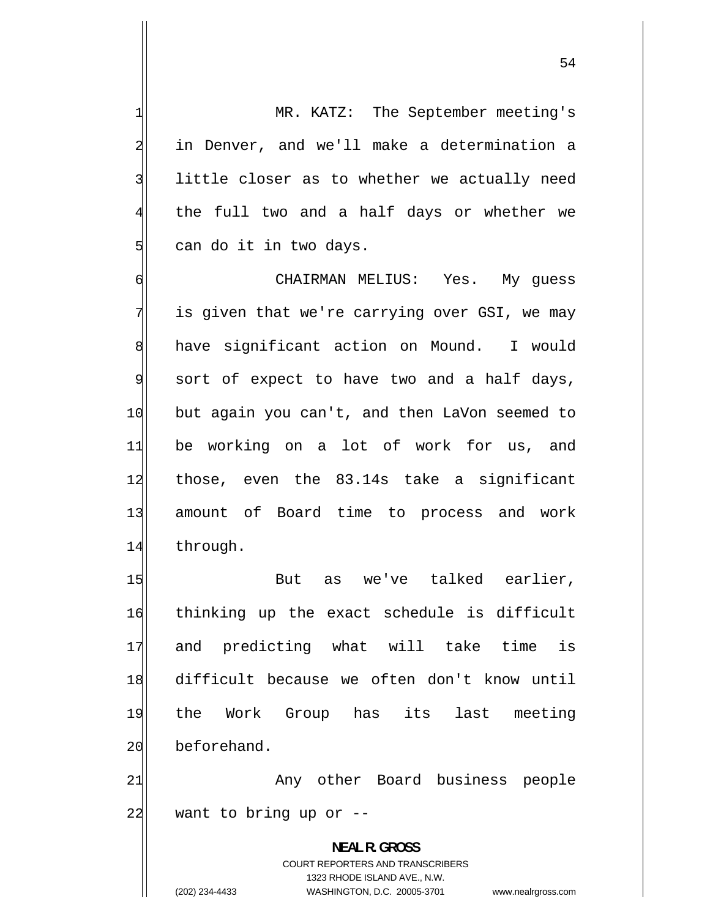54

 MR. KATZ: The September meeting's in Denver, and we'll make a determination a little closer as to whether we actually need the full two and a half days or whether we can do it in two days.

1

2

3

4

5

6 CHAIRMAN MELIUS: Yes. My guess 7 is given that we're carrying over GSI, we may 8 have significant action on Mound. I would 9 sort of expect to have two and a half days, 10 but again you can't, and then LaVon seemed to 11 be working on a lot of work for us, and 12 those, even the 83.14s take a significant 13 amount of Board time to process and work 14 through.

15 But as we've talked earlier, 16 thinking up the exact schedule is difficult 17 and predicting what will take time is 18 difficult because we often don't know until 19 the Work Group has its last meeting 20 beforehand.

21 Any other Board business people 22 want to bring up or --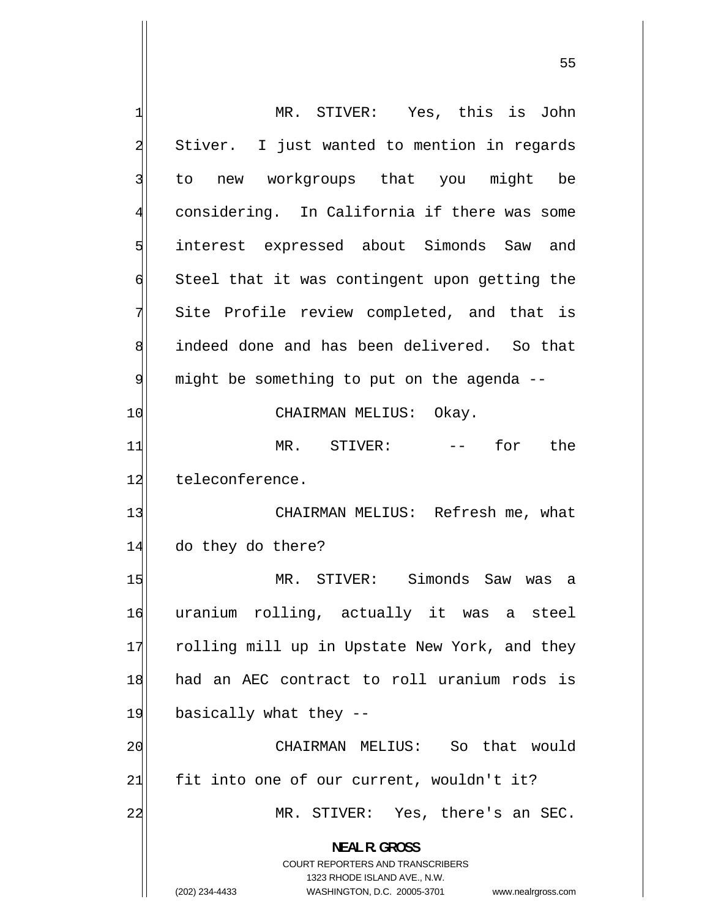| 1              | MR. STIVER: Yes, this is John                                                                                                                                          |
|----------------|------------------------------------------------------------------------------------------------------------------------------------------------------------------------|
| $\overline{a}$ | Stiver. I just wanted to mention in regards                                                                                                                            |
| 3              | to new workgroups that you might be                                                                                                                                    |
| 4              | considering. In California if there was some                                                                                                                           |
| 5              | interest expressed about Simonds Saw and                                                                                                                               |
| б              | Steel that it was contingent upon getting the                                                                                                                          |
| 7              | Site Profile review completed, and that is                                                                                                                             |
| 8              | indeed done and has been delivered. So that                                                                                                                            |
| 9              | might be something to put on the agenda --                                                                                                                             |
| 10             | CHAIRMAN MELIUS: Okay.                                                                                                                                                 |
| 11             | MR. STIVER: -- for the                                                                                                                                                 |
| 12             | teleconference.                                                                                                                                                        |
| 13             | CHAIRMAN MELIUS: Refresh me, what                                                                                                                                      |
| 14             | do they do there?                                                                                                                                                      |
| 15             | MR. STIVER: Simonds Saw<br>was<br>а                                                                                                                                    |
| 16             | uranium rolling, actually it was a steel                                                                                                                               |
| 17             | rolling mill up in Upstate New York, and they                                                                                                                          |
| 18             | had an AEC contract to roll uranium rods is                                                                                                                            |
| 19             | basically what they --                                                                                                                                                 |
| 20             | CHAIRMAN MELIUS: So that would                                                                                                                                         |
| 21             | fit into one of our current, wouldn't it?                                                                                                                              |
| 22             | MR. STIVER: Yes, there's an SEC.                                                                                                                                       |
|                | <b>NEAL R. GROSS</b><br><b>COURT REPORTERS AND TRANSCRIBERS</b><br>1323 RHODE ISLAND AVE., N.W.<br>(202) 234-4433<br>WASHINGTON, D.C. 20005-3701<br>www.nealrgross.com |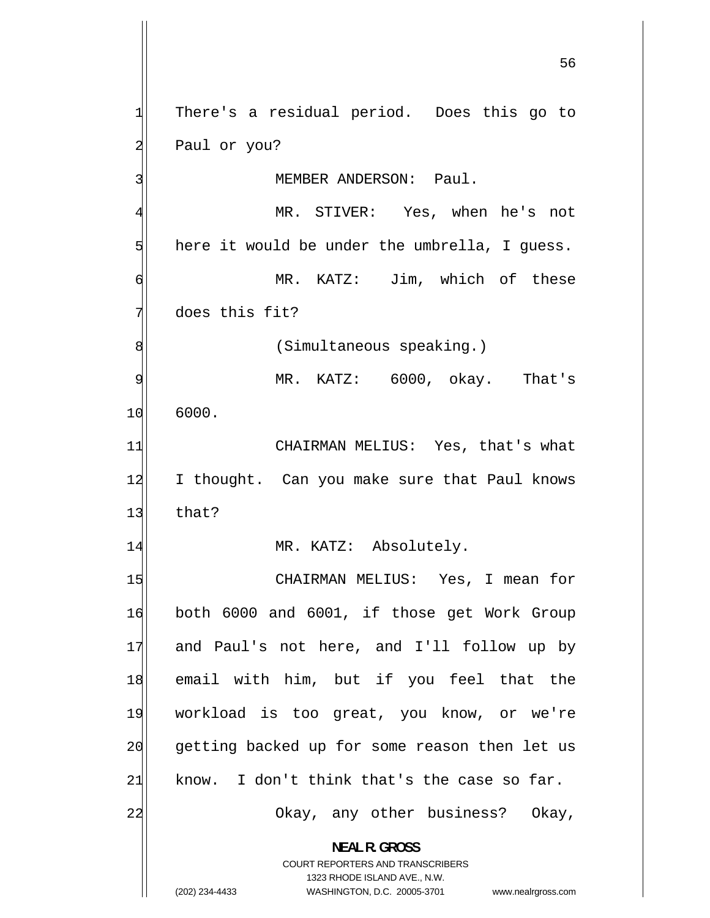$56$ 1 There's a residual period. Does this go to 2 Paul or you? 3 MEMBER ANDERSON: Paul. 4 MR. STIVER: Yes, when he's not 5 here it would be under the umbrella, I guess. 6 MR. KATZ: Jim, which of these 7 does this fit? 8 (Simultaneous speaking.) 9 MR. KATZ: 6000, okay. That's 10 6000. 11 CHAIRMAN MELIUS: Yes, that's what 12 I thought. Can you make sure that Paul knows  $13$  that? 14 MR. KATZ: Absolutely. 15 CHAIRMAN MELIUS: Yes, I mean for 16 both 6000 and 6001, if those get Work Group 17 and Paul's not here, and I'll follow up by 18 email with him, but if you feel that the 19 workload is too great, you know, or we're 20 getting backed up for some reason then let us  $21$  know. I don't think that's the case so far. 22 Okay, any other business? Okay, **NEAL R. GROSS**  COURT REPORTERS AND TRANSCRIBERS 1323 RHODE ISLAND AVE., N.W. (202) 234-4433 WASHINGTON, D.C. 20005-3701 www.nealrgross.com